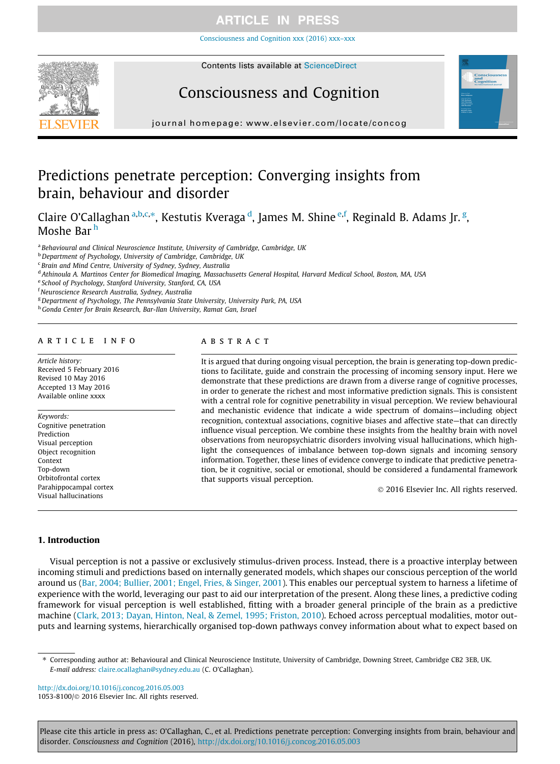[Consciousness and Cognition xxx \(2016\) xxx–xxx](http://dx.doi.org/10.1016/j.concog.2016.05.003)



# Consciousness and Cognition



journal homepage: [www.elsevier.com/locate/concog](http://www.elsevier.com/locate/concog)

# Predictions penetrate perception: Converging insights from brain, behaviour and disorder

Claire O'Callaghan <sup>a,b,c,\*</sup>, Kestutis Kveraga <sup>d</sup>, James M. Shine <sup>e,f</sup>, Reginald B. Adams Jr. <sup>g</sup>, Moshe Bar <sup>h</sup>

a Behavioural and Clinical Neuroscience Institute, University of Cambridge, Cambridge, UK

**b** Department of Psychology, University of Cambridge, Cambridge, UK

<sup>c</sup> Brain and Mind Centre, University of Sydney, Sydney, Australia

<sup>d</sup> Athinoula A. Martinos Center for Biomedical Imaging, Massachusetts General Hospital, Harvard Medical School, Boston, MA, USA

e School of Psychology, Stanford University, Stanford, CA, USA

<sup>f</sup> Neuroscience Research Australia, Sydney, Australia

<sup>g</sup> Department of Psychology, The Pennsylvania State University, University Park, PA, USA

h Gonda Center for Brain Research, Bar-Ilan University, Ramat Gan, Israel

### article info

Article history: Received 5 February 2016 Revised 10 May 2016 Accepted 13 May 2016 Available online xxxx

Keywords: Cognitive penetration Prediction Visual perception Object recognition Context Top-down Orbitofrontal cortex Parahippocampal cortex Visual hallucinations

### **ABSTRACT**

It is argued that during ongoing visual perception, the brain is generating top-down predictions to facilitate, guide and constrain the processing of incoming sensory input. Here we demonstrate that these predictions are drawn from a diverse range of cognitive processes, in order to generate the richest and most informative prediction signals. This is consistent with a central role for cognitive penetrability in visual perception. We review behavioural and mechanistic evidence that indicate a wide spectrum of domains—including object recognition, contextual associations, cognitive biases and affective state—that can directly influence visual perception. We combine these insights from the healthy brain with novel observations from neuropsychiatric disorders involving visual hallucinations, which highlight the consequences of imbalance between top-down signals and incoming sensory information. Together, these lines of evidence converge to indicate that predictive penetration, be it cognitive, social or emotional, should be considered a fundamental framework that supports visual perception.

2016 Elsevier Inc. All rights reserved.

### 1. Introduction

Visual perception is not a passive or exclusively stimulus-driven process. Instead, there is a proactive interplay between incoming stimuli and predictions based on internally generated models, which shapes our conscious perception of the world around us ([Bar, 2004; Bullier, 2001; Engel, Fries, & Singer, 2001\)](#page-7-0). This enables our perceptual system to harness a lifetime of experience with the world, leveraging our past to aid our interpretation of the present. Along these lines, a predictive coding framework for visual perception is well established, fitting with a broader general principle of the brain as a predictive machine ([Clark, 2013; Dayan, Hinton, Neal, & Zemel, 1995; Friston, 2010](#page-8-0)). Echoed across perceptual modalities, motor outputs and learning systems, hierarchically organised top-down pathways convey information about what to expect based on

⇑ Corresponding author at: Behavioural and Clinical Neuroscience Institute, University of Cambridge, Downing Street, Cambridge CB2 3EB, UK. E-mail address: [claire.ocallaghan@sydney.edu.au](mailto:claire.ocallaghan@sydney.edu.au) (C. O'Callaghan).

<http://dx.doi.org/10.1016/j.concog.2016.05.003> 1053-8100/© 2016 Elsevier Inc. All rights reserved.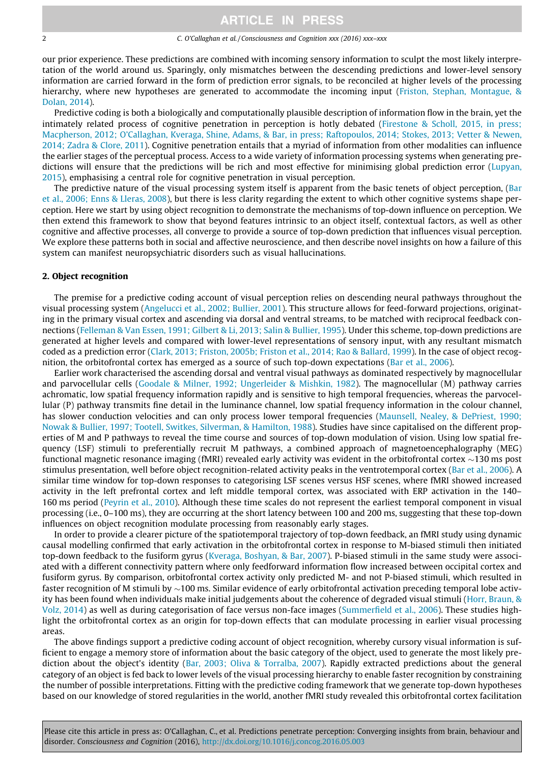### 2 C. O'Callaghan et al. / Consciousness and Cognition xxx (2016) xxx–xxx

our prior experience. These predictions are combined with incoming sensory information to sculpt the most likely interpretation of the world around us. Sparingly, only mismatches between the descending predictions and lower-level sensory information are carried forward in the form of prediction error signals, to be reconciled at higher levels of the processing hierarchy, where new hypotheses are generated to accommodate the incoming input ([Friston, Stephan, Montague, &](#page-9-0) [Dolan, 2014\)](#page-9-0).

Predictive coding is both a biologically and computationally plausible description of information flow in the brain, yet the intimately related process of cognitive penetration in perception is hotly debated ([Firestone & Scholl, 2015, in press;](#page-8-0) [Macpherson, 2012; O'Callaghan, Kveraga, Shine, Adams, & Bar, in press; Raftopoulos, 2014; Stokes, 2013; Vetter & Newen,](#page-8-0) [2014; Zadra & Clore, 2011](#page-8-0)). Cognitive penetration entails that a myriad of information from other modalities can influence the earlier stages of the perceptual process. Access to a wide variety of information processing systems when generating pre-dictions will ensure that the predictions will be rich and most effective for minimising global prediction error ([Lupyan,](#page-9-0) [2015](#page-9-0)), emphasising a central role for cognitive penetration in visual perception.

The predictive nature of the visual processing system itself is apparent from the basic tenets of object perception, ([Bar](#page-8-0) [et al., 2006; Enns & Lleras, 2008](#page-8-0)), but there is less clarity regarding the extent to which other cognitive systems shape perception. Here we start by using object recognition to demonstrate the mechanisms of top-down influence on perception. We then extend this framework to show that beyond features intrinsic to an object itself, contextual factors, as well as other cognitive and affective processes, all converge to provide a source of top-down prediction that influences visual perception. We explore these patterns both in social and affective neuroscience, and then describe novel insights on how a failure of this system can manifest neuropsychiatric disorders such as visual hallucinations.

### 2. Object recognition

The premise for a predictive coding account of visual perception relies on descending neural pathways throughout the visual processing system [\(Angelucci et al., 2002; Bullier, 2001](#page-7-0)). This structure allows for feed-forward projections, originating in the primary visual cortex and ascending via dorsal and ventral streams, to be matched with reciprocal feedback connections ([Felleman & Van Essen, 1991; Gilbert & Li, 2013; Salin & Bullier, 1995](#page-8-0)). Under this scheme, top-down predictions are generated at higher levels and compared with lower-level representations of sensory input, with any resultant mismatch coded as a prediction error ([Clark, 2013; Friston, 2005b; Friston et al., 2014; Rao & Ballard, 1999](#page-8-0)). In the case of object recognition, the orbitofrontal cortex has emerged as a source of such top-down expectations ([Bar et al., 2006\)](#page-8-0).

Earlier work characterised the ascending dorsal and ventral visual pathways as dominated respectively by magnocellular and parvocellular cells ([Goodale & Milner, 1992; Ungerleider & Mishkin, 1982\)](#page-9-0). The magnocellular (M) pathway carries achromatic, low spatial frequency information rapidly and is sensitive to high temporal frequencies, whereas the parvocellular (P) pathway transmits fine detail in the luminance channel, low spatial frequency information in the colour channel, has slower conduction velocities and can only process lower temporal frequencies ([Maunsell, Nealey, & DePriest, 1990;](#page-9-0) [Nowak & Bullier, 1997; Tootell, Switkes, Silverman, & Hamilton, 1988\)](#page-9-0). Studies have since capitalised on the different properties of M and P pathways to reveal the time course and sources of top-down modulation of vision. Using low spatial frequency (LSF) stimuli to preferentially recruit M pathways, a combined approach of magnetoencephalography (MEG) functional magnetic resonance imaging (fMRI) revealed early activity was evident in the orbitofrontal cortex  $\sim$ 130 ms post stimulus presentation, well before object recognition-related activity peaks in the ventrotemporal cortex [\(Bar et al., 2006\)](#page-8-0). A similar time window for top-down responses to categorising LSF scenes versus HSF scenes, where fMRI showed increased activity in the left prefrontal cortex and left middle temporal cortex, was associated with ERP activation in the 140– 160 ms period [\(Peyrin et al., 2010\)](#page-10-0). Although these time scales do not represent the earliest temporal component in visual processing (i.e., 0–100 ms), they are occurring at the short latency between 100 and 200 ms, suggesting that these top-down influences on object recognition modulate processing from reasonably early stages.

In order to provide a clearer picture of the spatiotemporal trajectory of top-down feedback, an fMRI study using dynamic causal modelling confirmed that early activation in the orbitofrontal cortex in response to M-biased stimuli then initiated top-down feedback to the fusiform gyrus [\(Kveraga, Boshyan, & Bar, 2007](#page-9-0)). P-biased stimuli in the same study were associated with a different connectivity pattern where only feedforward information flow increased between occipital cortex and fusiform gyrus. By comparison, orbitofrontal cortex activity only predicted M- and not P-biased stimuli, which resulted in faster recognition of M stimuli by  $\sim$ 100 ms. Similar evidence of early orbitofrontal activation preceding temporal lobe activity has been found when individuals make initial judgements about the coherence of degraded visual stimuli [\(Horr, Braun, &](#page-9-0) [Volz, 2014](#page-9-0)) as well as during categorisation of face versus non-face images ([Summerfield et al., 2006\)](#page-10-0). These studies highlight the orbitofrontal cortex as an origin for top-down effects that can modulate processing in earlier visual processing areas.

The above findings support a predictive coding account of object recognition, whereby cursory visual information is sufficient to engage a memory store of information about the basic category of the object, used to generate the most likely prediction about the object's identity ([Bar, 2003; Oliva & Torralba, 2007\)](#page-7-0). Rapidly extracted predictions about the general category of an object is fed back to lower levels of the visual processing hierarchy to enable faster recognition by constraining the number of possible interpretations. Fitting with the predictive coding framework that we generate top-down hypotheses based on our knowledge of stored regularities in the world, another fMRI study revealed this orbitofrontal cortex facilitation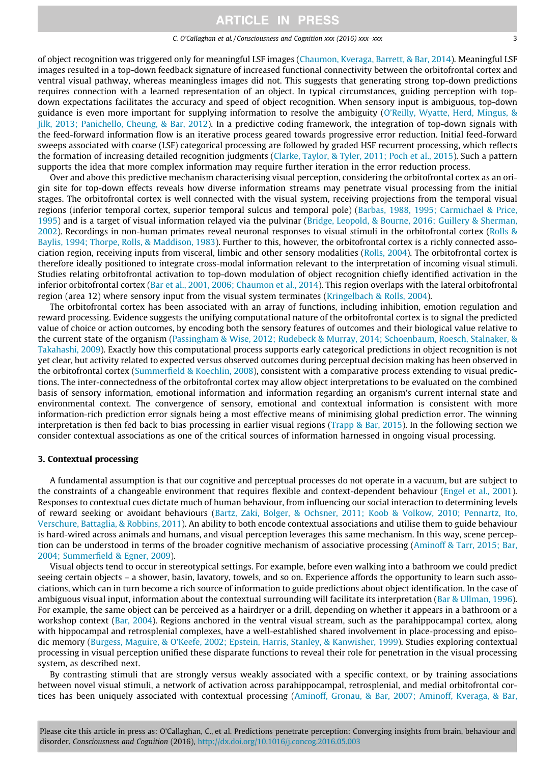#### C. O'Callaghan et al. / Consciousness and Cognition xxx (2016) xxx–xxx 3

of object recognition was triggered only for meaningful LSF images ([Chaumon, Kveraga, Barrett, & Bar, 2014\)](#page-8-0). Meaningful LSF images resulted in a top-down feedback signature of increased functional connectivity between the orbitofrontal cortex and ventral visual pathway, whereas meaningless images did not. This suggests that generating strong top-down predictions requires connection with a learned representation of an object. In typical circumstances, guiding perception with topdown expectations facilitates the accuracy and speed of object recognition. When sensory input is ambiguous, top-down guidance is even more important for supplying information to resolve the ambiguity [\(O'Reilly, Wyatte, Herd, Mingus, &](#page-9-0) [Jilk, 2013; Panichello, Cheung, & Bar, 2012](#page-9-0)). In a predictive coding framework, the integration of top-down signals with the feed-forward information flow is an iterative process geared towards progressive error reduction. Initial feed-forward sweeps associated with coarse (LSF) categorical processing are followed by graded HSF recurrent processing, which reflects the formation of increasing detailed recognition judgments [\(Clarke, Taylor, & Tyler, 2011; Poch et al., 2015\)](#page-8-0). Such a pattern supports the idea that more complex information may require further iteration in the error reduction process.

Over and above this predictive mechanism characterising visual perception, considering the orbitofrontal cortex as an origin site for top-down effects reveals how diverse information streams may penetrate visual processing from the initial stages. The orbitofrontal cortex is well connected with the visual system, receiving projections from the temporal visual regions (inferior temporal cortex, superior temporal sulcus and temporal pole) [\(Barbas, 1988, 1995; Carmichael & Price,](#page-8-0) [1995\)](#page-8-0) and is a target of visual information relayed via the pulvinar ([Bridge, Leopold, & Bourne, 2016; Guillery & Sherman,](#page-8-0) [2002\)](#page-8-0). Recordings in non-human primates reveal neuronal responses to visual stimuli in the orbitofrontal cortex [\(Rolls &](#page-10-0) [Baylis, 1994; Thorpe, Rolls, & Maddison, 1983](#page-10-0)). Further to this, however, the orbitofrontal cortex is a richly connected association region, receiving inputs from visceral, limbic and other sensory modalities [\(Rolls, 2004\)](#page-10-0). The orbitofrontal cortex is therefore ideally positioned to integrate cross-modal information relevant to the interpretation of incoming visual stimuli. Studies relating orbitofrontal activation to top-down modulation of object recognition chiefly identified activation in the inferior orbitofrontal cortex [\(Bar et al., 2001, 2006; Chaumon et al., 2014\)](#page-8-0). This region overlaps with the lateral orbitofrontal region (area 12) where sensory input from the visual system terminates ([Kringelbach & Rolls, 2004\)](#page-9-0).

The orbitofrontal cortex has been associated with an array of functions, including inhibition, emotion regulation and reward processing. Evidence suggests the unifying computational nature of the orbitofrontal cortex is to signal the predicted value of choice or action outcomes, by encoding both the sensory features of outcomes and their biological value relative to the current state of the organism ([Passingham & Wise, 2012; Rudebeck & Murray, 2014; Schoenbaum, Roesch, Stalnaker, &](#page-9-0) [Takahashi, 2009\)](#page-9-0). Exactly how this computational process supports early categorical predictions in object recognition is not yet clear, but activity related to expected versus observed outcomes during perceptual decision making has been observed in the orbitofrontal cortex [\(Summerfield & Koechlin, 2008](#page-10-0)), consistent with a comparative process extending to visual predictions. The inter-connectedness of the orbitofrontal cortex may allow object interpretations to be evaluated on the combined basis of sensory information, emotional information and information regarding an organism's current internal state and environmental context. The convergence of sensory, emotional and contextual information is consistent with more information-rich prediction error signals being a most effective means of minimising global prediction error. The winning interpretation is then fed back to bias processing in earlier visual regions [\(Trapp & Bar, 2015](#page-10-0)). In the following section we consider contextual associations as one of the critical sources of information harnessed in ongoing visual processing.

### 3. Contextual processing

A fundamental assumption is that our cognitive and perceptual processes do not operate in a vacuum, but are subject to the constraints of a changeable environment that requires flexible and context-dependent behaviour [\(Engel et al., 2001](#page-8-0)). Responses to contextual cues dictate much of human behaviour, from influencing our social interaction to determining levels of reward seeking or avoidant behaviours [\(Bartz, Zaki, Bolger, & Ochsner, 2011; Koob & Volkow, 2010; Pennartz, Ito,](#page-8-0) [Verschure, Battaglia, & Robbins, 2011\)](#page-8-0). An ability to both encode contextual associations and utilise them to guide behaviour is hard-wired across animals and humans, and visual perception leverages this same mechanism. In this way, scene perception can be understood in terms of the broader cognitive mechanism of associative processing ([Aminoff & Tarr, 2015; Bar,](#page-7-0) [2004; Summerfield & Egner, 2009\)](#page-7-0).

Visual objects tend to occur in stereotypical settings. For example, before even walking into a bathroom we could predict seeing certain objects – a shower, basin, lavatory, towels, and so on. Experience affords the opportunity to learn such associations, which can in turn become a rich source of information to guide predictions about object identification. In the case of ambiguous visual input, information about the contextual surrounding will facilitate its interpretation [\(Bar & Ullman, 1996](#page-8-0)). For example, the same object can be perceived as a hairdryer or a drill, depending on whether it appears in a bathroom or a workshop context ([Bar, 2004](#page-7-0)). Regions anchored in the ventral visual stream, such as the parahippocampal cortex, along with hippocampal and retrosplenial complexes, have a well-established shared involvement in place-processing and episodic memory [\(Burgess, Maguire, & O'Keefe, 2002; Epstein, Harris, Stanley, & Kanwisher, 1999](#page-8-0)). Studies exploring contextual processing in visual perception unified these disparate functions to reveal their role for penetration in the visual processing system, as described next.

By contrasting stimuli that are strongly versus weakly associated with a specific context, or by training associations between novel visual stimuli, a network of activation across parahippocampal, retrosplenial, and medial orbitofrontal cortices has been uniquely associated with contextual processing [\(Aminoff, Gronau, & Bar, 2007; Aminoff, Kveraga, & Bar,](#page-7-0)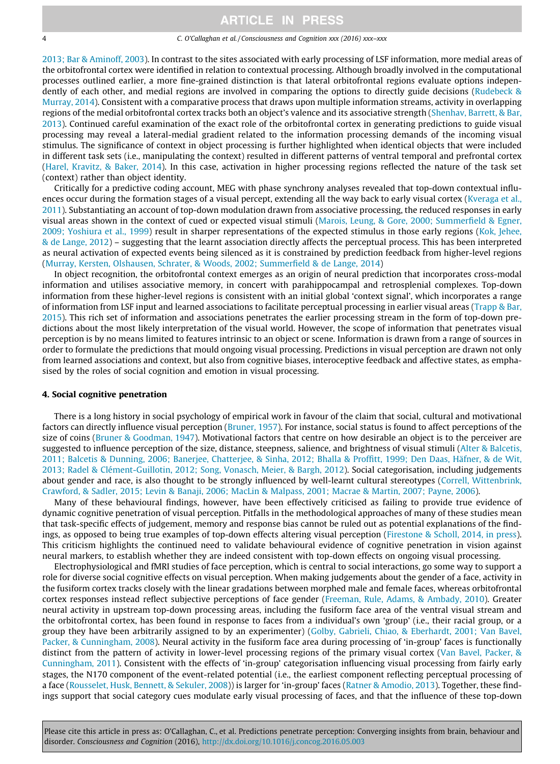### 4 C. O'Callaghan et al. / Consciousness and Cognition xxx (2016) xxx–xxx

[2013; Bar & Aminoff, 2003](#page-7-0)). In contrast to the sites associated with early processing of LSF information, more medial areas of the orbitofrontal cortex were identified in relation to contextual processing. Although broadly involved in the computational processes outlined earlier, a more fine-grained distinction is that lateral orbitofrontal regions evaluate options independently of each other, and medial regions are involved in comparing the options to directly guide decisions ([Rudebeck &](#page-10-0) [Murray, 2014\)](#page-10-0). Consistent with a comparative process that draws upon multiple information streams, activity in overlapping regions of the medial orbitofrontal cortex tracks both an object's valence and its associative strength ([Shenhav, Barrett, & Bar,](#page-10-0) [2013](#page-10-0)). Continued careful examination of the exact role of the orbitofrontal cortex in generating predictions to guide visual processing may reveal a lateral-medial gradient related to the information processing demands of the incoming visual stimulus. The significance of context in object processing is further highlighted when identical objects that were included in different task sets (i.e., manipulating the context) resulted in different patterns of ventral temporal and prefrontal cortex [\(Harel, Kravitz, & Baker, 2014](#page-9-0)). In this case, activation in higher processing regions reflected the nature of the task set (context) rather than object identity.

Critically for a predictive coding account, MEG with phase synchrony analyses revealed that top-down contextual influences occur during the formation stages of a visual percept, extending all the way back to early visual cortex ([Kveraga et al.,](#page-9-0) [2011](#page-9-0)). Substantiating an account of top-down modulation drawn from associative processing, the reduced responses in early visual areas shown in the context of cued or expected visual stimuli ([Marois, Leung, & Gore, 2000; Summerfield & Egner,](#page-9-0) [2009; Yoshiura et al., 1999\)](#page-9-0) result in sharper representations of the expected stimulus in those early regions [\(Kok, Jehee,](#page-9-0) [& de Lange, 2012](#page-9-0)) – suggesting that the learnt association directly affects the perceptual process. This has been interpreted as neural activation of expected events being silenced as it is constrained by prediction feedback from higher-level regions [\(Murray, Kersten, Olshausen, Schrater, & Woods, 2002; Summerfield & de Lange, 2014\)](#page-9-0)

In object recognition, the orbitofrontal context emerges as an origin of neural prediction that incorporates cross-modal information and utilises associative memory, in concert with parahippocampal and retrosplenial complexes. Top-down information from these higher-level regions is consistent with an initial global 'context signal', which incorporates a range of information from LSF input and learned associations to facilitate perceptual processing in earlier visual areas [\(Trapp & Bar,](#page-10-0) [2015](#page-10-0)). This rich set of information and associations penetrates the earlier processing stream in the form of top-down predictions about the most likely interpretation of the visual world. However, the scope of information that penetrates visual perception is by no means limited to features intrinsic to an object or scene. Information is drawn from a range of sources in order to formulate the predictions that mould ongoing visual processing. Predictions in visual perception are drawn not only from learned associations and context, but also from cognitive biases, interoceptive feedback and affective states, as emphasised by the roles of social cognition and emotion in visual processing.

### 4. Social cognitive penetration

There is a long history in social psychology of empirical work in favour of the claim that social, cultural and motivational factors can directly influence visual perception [\(Bruner, 1957](#page-8-0)). For instance, social status is found to affect perceptions of the size of coins [\(Bruner & Goodman, 1947](#page-8-0)). Motivational factors that centre on how desirable an object is to the perceiver are suggested to influence perception of the size, distance, steepness, salience, and brightness of visual stimuli ([Alter & Balcetis,](#page-7-0) [2011; Balcetis & Dunning, 2006; Banerjee, Chatterjee, & Sinha, 2012; Bhalla & Proffitt, 1999; Den Daas, Häfner, & de Wit,](#page-7-0) [2013; Radel & Clément-Guillotin, 2012; Song, Vonasch, Meier, & Bargh, 2012\)](#page-7-0). Social categorisation, including judgements about gender and race, is also thought to be strongly influenced by well-learnt cultural stereotypes [\(Correll, Wittenbrink,](#page-8-0) [Crawford, & Sadler, 2015; Levin & Banaji, 2006; MacLin & Malpass, 2001; Macrae & Martin, 2007; Payne, 2006](#page-8-0)).

Many of these behavioural findings, however, have been effectively criticised as failing to provide true evidence of dynamic cognitive penetration of visual perception. Pitfalls in the methodological approaches of many of these studies mean that task-specific effects of judgement, memory and response bias cannot be ruled out as potential explanations of the findings, as opposed to being true examples of top-down effects altering visual perception [\(Firestone & Scholl, 2014, in press](#page-8-0)). This criticism highlights the continued need to validate behavioural evidence of cognitive penetration in vision against neural markers, to establish whether they are indeed consistent with top-down effects on ongoing visual processing.

Electrophysiological and fMRI studies of face perception, which is central to social interactions, go some way to support a role for diverse social cognitive effects on visual perception. When making judgements about the gender of a face, activity in the fusiform cortex tracks closely with the linear gradations between morphed male and female faces, whereas orbitofrontal cortex responses instead reflect subjective perceptions of face gender [\(Freeman, Rule, Adams, & Ambady, 2010](#page-8-0)). Greater neural activity in upstream top-down processing areas, including the fusiform face area of the ventral visual stream and the orbitofrontal cortex, has been found in response to faces from a individual's own 'group' (i.e., their racial group, or a group they have been arbitrarily assigned to by an experimenter) [\(Golby, Gabrieli, Chiao, & Eberhardt, 2001; Van Bavel,](#page-9-0) [Packer, & Cunningham, 2008](#page-9-0)). Neural activity in the fusiform face area during processing of 'in-group' faces is functionally distinct from the pattern of activity in lower-level processing regions of the primary visual cortex [\(Van Bavel, Packer, &](#page-11-0) [Cunningham, 2011](#page-11-0)). Consistent with the effects of 'in-group' categorisation influencing visual processing from fairly early stages, the N170 component of the event-related potential (i.e., the earliest component reflecting perceptual processing of a face [\(Rousselet, Husk, Bennett, & Sekuler, 2008\)](#page-10-0)) is larger for 'in-group' faces [\(Ratner & Amodio, 2013](#page-10-0)). Together, these findings support that social category cues modulate early visual processing of faces, and that the influence of these top-down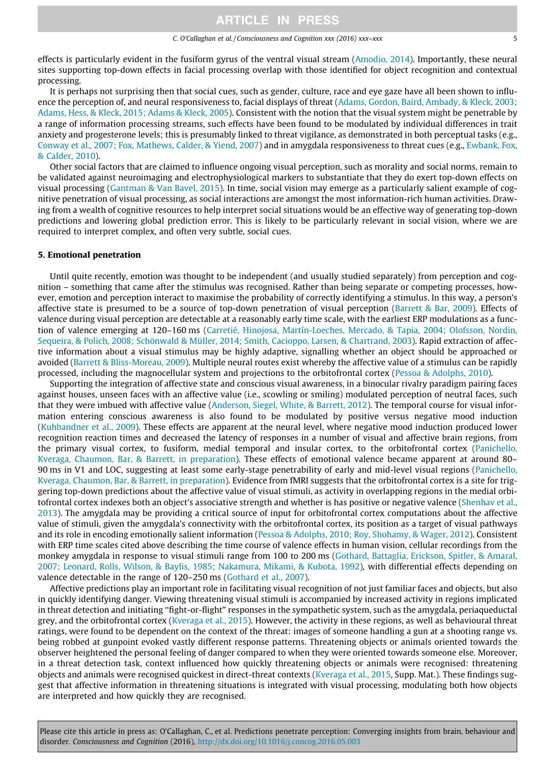effects is particularly evident in the fusiform gyrus of the ventral visual stream [\(Amodio, 2014\)](#page-7-0). Importantly, these neural sites supporting top-down effects in facial processing overlap with those identified for object recognition and contextual processing.

It is perhaps not surprising then that social cues, such as gender, culture, race and eye gaze have all been shown to influence the perception of, and neural responsiveness to, facial displays of threat ([Adams, Gordon, Baird, Ambady, & Kleck, 2003;](#page-7-0) [Adams, Hess, & Kleck, 2015; Adams & Kleck, 2005\)](#page-7-0). Consistent with the notion that the visual system might be penetrable by a range of information processing streams, such effects have been found to be modulated by individual differences in trait anxiety and progesterone levels; this is presumably linked to threat vigilance, as demonstrated in both perceptual tasks (e.g., [Conway et al., 2007; Fox, Mathews, Calder, & Yiend, 2007\)](#page-8-0) and in amygdala responsiveness to threat cues (e.g., [Ewbank, Fox,](#page-8-0) [& Calder, 2010\)](#page-8-0).

Other social factors that are claimed to influence ongoing visual perception, such as morality and social norms, remain to be validated against neuroimaging and electrophysiological markers to substantiate that they do exert top-down effects on visual processing [\(Gantman & Van Bavel, 2015\)](#page-9-0). In time, social vision may emerge as a particularly salient example of cognitive penetration of visual processing, as social interactions are amongst the most information-rich human activities. Drawing from a wealth of cognitive resources to help interpret social situations would be an effective way of generating top-down predictions and lowering global prediction error. This is likely to be particularly relevant in social vision, where we are required to interpret complex, and often very subtle, social cues.

### 5. Emotional penetration

Until quite recently, emotion was thought to be independent (and usually studied separately) from perception and cognition – something that came after the stimulus was recognised. Rather than being separate or competing processes, however, emotion and perception interact to maximise the probability of correctly identifying a stimulus. In this way, a person's affective state is presumed to be a source of top-down penetration of visual perception [\(Barrett & Bar, 2009](#page-8-0)). Effects of valence during visual perception are detectable at a reasonably early time scale, with the earliest ERP modulations as a function of valence emerging at 120–160 ms [\(Carretié, Hinojosa, Martín-Loeches, Mercado, & Tapia, 2004; Olofsson, Nordin,](#page-8-0) [Sequeira, & Polich, 2008; Schönwald & Müller, 2014; Smith, Cacioppo, Larsen, & Chartrand, 2003\)](#page-8-0). Rapid extraction of affective information about a visual stimulus may be highly adaptive, signalling whether an object should be approached or avoided ([Barrett & Bliss-Moreau, 2009](#page-8-0)). Multiple neural routes exist whereby the affective value of a stimulus can be rapidly processed, including the magnocellular system and projections to the orbitofrontal cortex [\(Pessoa & Adolphs, 2010\)](#page-10-0).

Supporting the integration of affective state and conscious visual awareness, in a binocular rivalry paradigm pairing faces against houses, unseen faces with an affective value (i.e., scowling or smiling) modulated perception of neutral faces, such that they were imbued with affective value ([Anderson, Siegel, White, & Barrett, 2012](#page-7-0)). The temporal course for visual information entering conscious awareness is also found to be modulated by positive versus negative mood induction ([Kuhbandner et al., 2009\)](#page-9-0). These effects are apparent at the neural level, where negative mood induction produced lower recognition reaction times and decreased the latency of responses in a number of visual and affective brain regions, from the primary visual cortex, to fusiform, medial temporal and insular cortex, to the orbitofrontal cortex [\(Panichello,](#page-9-0) [Kveraga, Chaumon, Bar, & Barrett, in preparation](#page-9-0)). These effects of emotional valence became apparent at around 80– 90 ms in V1 and LOC, suggesting at least some early-stage penetrability of early and mid-level visual regions [\(Panichello,](#page-9-0) [Kveraga, Chaumon, Bar, & Barrett, in preparation](#page-9-0)). Evidence from fMRI suggests that the orbitofrontal cortex is a site for triggering top-down predictions about the affective value of visual stimuli, as activity in overlapping regions in the medial orbitofrontal cortex indexes both an object's associative strength and whether is has positive or negative valence [\(Shenhav et al.,](#page-10-0) [2013\)](#page-10-0). The amygdala may be providing a critical source of input for orbitofrontal cortex computations about the affective value of stimuli, given the amygdala's connectivity with the orbitofrontal cortex, its position as a target of visual pathways and its role in encoding emotionally salient information [\(Pessoa & Adolphs, 2010; Roy, Shohamy, & Wager, 2012\)](#page-10-0). Consistent with ERP time scales cited above describing the time course of valence effects in human vision, cellular recordings from the monkey amygdala in response to visual stimuli range from 100 to 200 ms [\(Gothard, Battaglia, Erickson, Spitler, & Amaral,](#page-9-0) [2007; Leonard, Rolls, Wilson, & Baylis, 1985; Nakamura, Mikami, & Kubota, 1992\)](#page-9-0), with differential effects depending on valence detectable in the range of 120–250 ms ([Gothard et al., 2007](#page-9-0)).

Affective predictions play an important role in facilitating visual recognition of not just familiar faces and objects, but also in quickly identifying danger. Viewing threatening visual stimuli is accompanied by increased activity in regions implicated in threat detection and initiating ''fight-or-flight" responses in the sympathetic system, such as the amygdala, periaqueductal grey, and the orbitofrontal cortex [\(Kveraga et al., 2015](#page-9-0)). However, the activity in these regions, as well as behavioural threat ratings, were found to be dependent on the context of the threat: images of someone handling a gun at a shooting range vs. being robbed at gunpoint evoked vastly different response patterns. Threatening objects or animals oriented towards the observer heightened the personal feeling of danger compared to when they were oriented towards someone else. Moreover, in a threat detection task, context influenced how quickly threatening objects or animals were recognised: threatening objects and animals were recognised quickest in direct-threat contexts ([Kveraga et al., 2015](#page-9-0), Supp. Mat.). These findings suggest that affective information in threatening situations is integrated with visual processing, modulating both how objects are interpreted and how quickly they are recognised.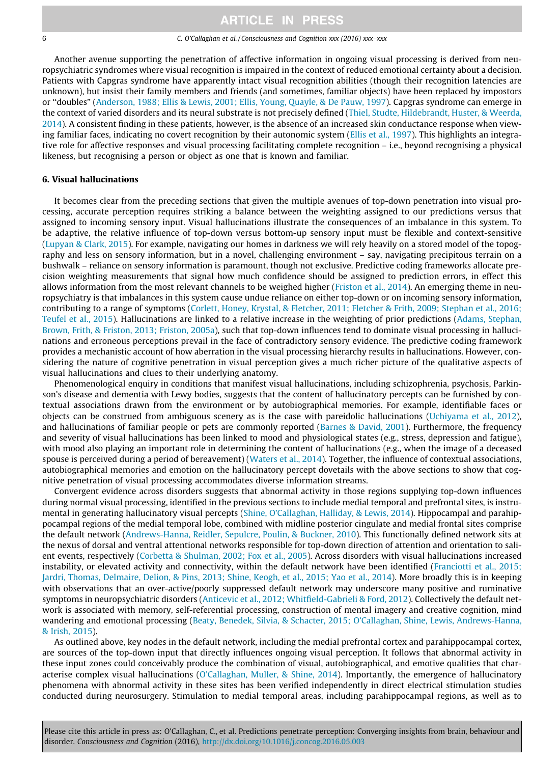### 6 C. O'Callaghan et al. / Consciousness and Cognition xxx (2016) xxx–xxx

Another avenue supporting the penetration of affective information in ongoing visual processing is derived from neuropsychiatric syndromes where visual recognition is impaired in the context of reduced emotional certainty about a decision. Patients with Capgras syndrome have apparently intact visual recognition abilities (though their recognition latencies are unknown), but insist their family members and friends (and sometimes, familiar objects) have been replaced by impostors or ''doubles" [\(Anderson, 1988; Ellis & Lewis, 2001; Ellis, Young, Quayle, & De Pauw, 1997](#page-7-0)). Capgras syndrome can emerge in the context of varied disorders and its neural substrate is not precisely defined [\(Thiel, Studte, Hildebrandt, Huster, & Weerda,](#page-10-0) [2014](#page-10-0)). A consistent finding in these patients, however, is the absence of an increased skin conductance response when viewing familiar faces, indicating no covert recognition by their autonomic system ([Ellis et al., 1997](#page-8-0)). This highlights an integrative role for affective responses and visual processing facilitating complete recognition – i.e., beyond recognising a physical likeness, but recognising a person or object as one that is known and familiar.

### 6. Visual hallucinations

It becomes clear from the preceding sections that given the multiple avenues of top-down penetration into visual processing, accurate perception requires striking a balance between the weighting assigned to our predictions versus that assigned to incoming sensory input. Visual hallucinations illustrate the consequences of an imbalance in this system. To be adaptive, the relative influence of top-down versus bottom-up sensory input must be flexible and context-sensitive [\(Lupyan & Clark, 2015\)](#page-9-0). For example, navigating our homes in darkness we will rely heavily on a stored model of the topography and less on sensory information, but in a novel, challenging environment – say, navigating precipitous terrain on a bushwalk – reliance on sensory information is paramount, though not exclusive. Predictive coding frameworks allocate precision weighting measurements that signal how much confidence should be assigned to prediction errors, in effect this allows information from the most relevant channels to be weighed higher ([Friston et al., 2014\)](#page-9-0). An emerging theme in neuropsychiatry is that imbalances in this system cause undue reliance on either top-down or on incoming sensory information, contributing to a range of symptoms ([Corlett, Honey, Krystal, & Fletcher, 2011; Fletcher & Frith, 2009; Stephan et al., 2016;](#page-8-0) [Teufel et al., 2015\)](#page-8-0). Hallucinations are linked to a relative increase in the weighting of prior predictions ([Adams, Stephan,](#page-7-0) [Brown, Frith, & Friston, 2013; Friston, 2005a\)](#page-7-0), such that top-down influences tend to dominate visual processing in hallucinations and erroneous perceptions prevail in the face of contradictory sensory evidence. The predictive coding framework provides a mechanistic account of how aberration in the visual processing hierarchy results in hallucinations. However, considering the nature of cognitive penetration in visual perception gives a much richer picture of the qualitative aspects of visual hallucinations and clues to their underlying anatomy.

Phenomenological enquiry in conditions that manifest visual hallucinations, including schizophrenia, psychosis, Parkinson's disease and dementia with Lewy bodies, suggests that the content of hallucinatory percepts can be furnished by contextual associations drawn from the environment or by autobiographical memories. For example, identifiable faces or objects can be construed from ambiguous scenery as is the case with pareidolic hallucinations ([Uchiyama et al., 2012\)](#page-11-0), and hallucinations of familiar people or pets are commonly reported ([Barnes & David, 2001](#page-8-0)). Furthermore, the frequency and severity of visual hallucinations has been linked to mood and physiological states (e.g., stress, depression and fatigue), with mood also playing an important role in determining the content of hallucinations (e.g., when the image of a deceased spouse is perceived during a period of bereavement) ([Waters et al., 2014\)](#page-11-0). Together, the influence of contextual associations, autobiographical memories and emotion on the hallucinatory percept dovetails with the above sections to show that cognitive penetration of visual processing accommodates diverse information streams.

Convergent evidence across disorders suggests that abnormal activity in those regions supplying top-down influences during normal visual processing, identified in the previous sections to include medial temporal and prefrontal sites, is instrumental in generating hallucinatory visual percepts ([Shine, O'Callaghan, Halliday, & Lewis, 2014](#page-10-0)). Hippocampal and parahippocampal regions of the medial temporal lobe, combined with midline posterior cingulate and medial frontal sites comprise the default network [\(Andrews-Hanna, Reidler, Sepulcre, Poulin, & Buckner, 2010](#page-7-0)). This functionally defined network sits at the nexus of dorsal and ventral attentional networks responsible for top-down direction of attention and orientation to salient events, respectively [\(Corbetta & Shulman, 2002; Fox et al., 2005\)](#page-8-0). Across disorders with visual hallucinations increased instability, or elevated activity and connectivity, within the default network have been identified [\(Franciotti et al., 2015;](#page-8-0) [Jardri, Thomas, Delmaire, Delion, & Pins, 2013; Shine, Keogh, et al., 2015; Yao et al., 2014\)](#page-8-0). More broadly this is in keeping with observations that an over-active/poorly suppressed default network may underscore many positive and ruminative symptoms in neuropsychiatric disorders ([Anticevic et al., 2012; Whitfield-Gabrieli & Ford, 2012\)](#page-7-0). Collectively the default network is associated with memory, self-referential processing, construction of mental imagery and creative cognition, mind wandering and emotional processing ([Beaty, Benedek, Silvia, & Schacter, 2015; O'Callaghan, Shine, Lewis, Andrews-Hanna,](#page-8-0) [& Irish, 2015\)](#page-8-0).

As outlined above, key nodes in the default network, including the medial prefrontal cortex and parahippocampal cortex, are sources of the top-down input that directly influences ongoing visual perception. It follows that abnormal activity in these input zones could conceivably produce the combination of visual, autobiographical, and emotive qualities that characterise complex visual hallucinations [\(O'Callaghan, Muller, & Shine, 2014](#page-9-0)). Importantly, the emergence of hallucinatory phenomena with abnormal activity in these sites has been verified independently in direct electrical stimulation studies conducted during neurosurgery. Stimulation to medial temporal areas, including parahippocampal regions, as well as to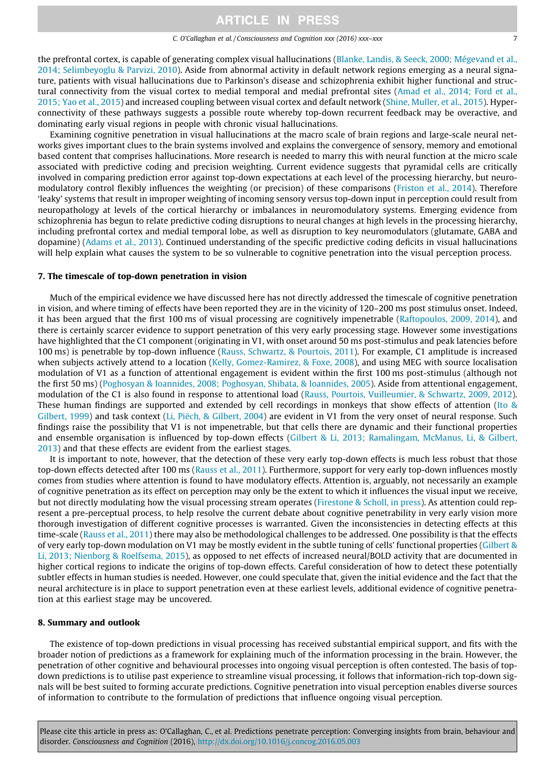### C. O'Callaghan et al. / Consciousness and Cognition xxx (2016) xxx–xxx 7

the prefrontal cortex, is capable of generating complex visual hallucinations [\(Blanke, Landis, & Seeck, 2000; Mégevand et al.,](#page-8-0) [2014; Selimbeyoglu & Parvizi, 2010](#page-8-0)). Aside from abnormal activity in default network regions emerging as a neural signature, patients with visual hallucinations due to Parkinson's disease and schizophrenia exhibit higher functional and structural connectivity from the visual cortex to medial temporal and medial prefrontal sites ([Amad et al., 2014; Ford et al.,](#page-7-0) [2015; Yao et al., 2015](#page-7-0)) and increased coupling between visual cortex and default network ([Shine, Muller, et al., 2015\)](#page-10-0). Hyperconnectivity of these pathways suggests a possible route whereby top-down recurrent feedback may be overactive, and dominating early visual regions in people with chronic visual hallucinations.

Examining cognitive penetration in visual hallucinations at the macro scale of brain regions and large-scale neural networks gives important clues to the brain systems involved and explains the convergence of sensory, memory and emotional based content that comprises hallucinations. More research is needed to marry this with neural function at the micro scale associated with predictive coding and precision weighting. Current evidence suggests that pyramidal cells are critically involved in comparing prediction error against top-down expectations at each level of the processing hierarchy, but neuromodulatory control flexibly influences the weighting (or precision) of these comparisons [\(Friston et al., 2014\)](#page-9-0). Therefore 'leaky' systems that result in improper weighting of incoming sensory versus top-down input in perception could result from neuropathology at levels of the cortical hierarchy or imbalances in neuromodulatory systems. Emerging evidence from schizophrenia has begun to relate predictive coding disruptions to neural changes at high levels in the processing hierarchy, including prefrontal cortex and medial temporal lobe, as well as disruption to key neuromodulators (glutamate, GABA and dopamine) [\(Adams et al., 2013\)](#page-7-0). Continued understanding of the specific predictive coding deficits in visual hallucinations will help explain what causes the system to be so vulnerable to cognitive penetration into the visual perception process.

### 7. The timescale of top-down penetration in vision

Much of the empirical evidence we have discussed here has not directly addressed the timescale of cognitive penetration in vision, and where timing of effects have been reported they are in the vicinity of 120–200 ms post stimulus onset. Indeed, it has been argued that the first 100 ms of visual processing are cognitively impenetrable ([Raftopoulos, 2009, 2014](#page-10-0)), and there is certainly scarcer evidence to support penetration of this very early processing stage. However some investigations have highlighted that the C1 component (originating in V1, with onset around 50 ms post-stimulus and peak latencies before 100 ms) is penetrable by top-down influence [\(Rauss, Schwartz, & Pourtois, 2011](#page-10-0)). For example, C1 amplitude is increased when subjects actively attend to a location [\(Kelly, Gomez-Ramirez, & Foxe, 2008](#page-9-0)), and using MEG with source localisation modulation of V1 as a function of attentional engagement is evident within the first 100 ms post-stimulus (although not the first 50 ms) [\(Poghosyan & Ioannides, 2008; Poghosyan, Shibata, & Ioannides, 2005](#page-10-0)). Aside from attentional engagement, modulation of the C1 is also found in response to attentional load [\(Rauss, Pourtois, Vuilleumier, & Schwartz, 2009, 2012](#page-10-0)). These human findings are supported and extended by cell recordings in monkeys that show effects of attention ([Ito &](#page-9-0) [Gilbert, 1999\)](#page-9-0) and task context ([Li, Piëch, & Gilbert, 2004](#page-9-0)) are evident in V1 from the very onset of neural response. Such findings raise the possibility that V1 is not impenetrable, but that cells there are dynamic and their functional properties and ensemble organisation is influenced by top-down effects [\(Gilbert & Li, 2013; Ramalingam, McManus, Li, & Gilbert,](#page-9-0) [2013\)](#page-9-0) and that these effects are evident from the earliest stages.

It is important to note, however, that the detection of these very early top-down effects is much less robust that those top-down effects detected after 100 ms ([Rauss et al., 2011\)](#page-10-0). Furthermore, support for very early top-down influences mostly comes from studies where attention is found to have modulatory effects. Attention is, arguably, not necessarily an example of cognitive penetration as its effect on perception may only be the extent to which it influences the visual input we receive, but not directly modulating how the visual processing stream operates ([Firestone & Scholl, in press](#page-8-0)). As attention could represent a pre-perceptual process, to help resolve the current debate about cognitive penetrability in very early vision more thorough investigation of different cognitive processes is warranted. Given the inconsistencies in detecting effects at this time-scale [\(Rauss et al., 2011\)](#page-10-0) there may also be methodological challenges to be addressed. One possibility is that the effects of very early top-down modulation on V1 may be mostly evident in the subtle tuning of cells' functional properties [\(Gilbert &](#page-9-0) [Li, 2013; Nienborg & Roelfsema, 2015](#page-9-0)), as opposed to net effects of increased neural/BOLD activity that are documented in higher cortical regions to indicate the origins of top-down effects. Careful consideration of how to detect these potentially subtler effects in human studies is needed. However, one could speculate that, given the initial evidence and the fact that the neural architecture is in place to support penetration even at these earliest levels, additional evidence of cognitive penetration at this earliest stage may be uncovered.

### 8. Summary and outlook

The existence of top-down predictions in visual processing has received substantial empirical support, and fits with the broader notion of predictions as a framework for explaining much of the information processing in the brain. However, the penetration of other cognitive and behavioural processes into ongoing visual perception is often contested. The basis of topdown predictions is to utilise past experience to streamline visual processing, it follows that information-rich top-down signals will be best suited to forming accurate predictions. Cognitive penetration into visual perception enables diverse sources of information to contribute to the formulation of predictions that influence ongoing visual perception.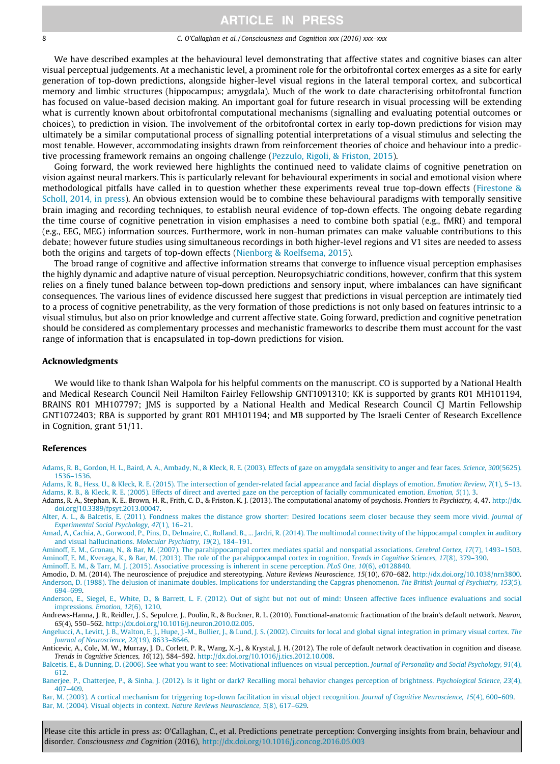#### <span id="page-7-0"></span>8 C. O'Callaghan et al. / Consciousness and Cognition xxx (2016) xxx–xxx

We have described examples at the behavioural level demonstrating that affective states and cognitive biases can alter visual perceptual judgements. At a mechanistic level, a prominent role for the orbitofrontal cortex emerges as a site for early generation of top-down predictions, alongside higher-level visual regions in the lateral temporal cortex, and subcortical memory and limbic structures (hippocampus; amygdala). Much of the work to date characterising orbitofrontal function has focused on value-based decision making. An important goal for future research in visual processing will be extending what is currently known about orbitofrontal computational mechanisms (signalling and evaluating potential outcomes or choices), to prediction in vision. The involvement of the orbitofrontal cortex in early top-down predictions for vision may ultimately be a similar computational process of signalling potential interpretations of a visual stimulus and selecting the most tenable. However, accommodating insights drawn from reinforcement theories of choice and behaviour into a predictive processing framework remains an ongoing challenge ([Pezzulo, Rigoli, & Friston, 2015](#page-10-0)).

Going forward, the work reviewed here highlights the continued need to validate claims of cognitive penetration on vision against neural markers. This is particularly relevant for behavioural experiments in social and emotional vision where methodological pitfalls have called in to question whether these experiments reveal true top-down effects ([Firestone &](#page-8-0) [Scholl, 2014, in press\)](#page-8-0). An obvious extension would be to combine these behavioural paradigms with temporally sensitive brain imaging and recording techniques, to establish neural evidence of top-down effects. The ongoing debate regarding the time course of cognitive penetration in vision emphasises a need to combine both spatial (e.g., fMRI) and temporal (e.g., EEG, MEG) information sources. Furthermore, work in non-human primates can make valuable contributions to this debate; however future studies using simultaneous recordings in both higher-level regions and V1 sites are needed to assess both the origins and targets of top-down effects [\(Nienborg & Roelfsema, 2015](#page-9-0)).

The broad range of cognitive and affective information streams that converge to influence visual perception emphasises the highly dynamic and adaptive nature of visual perception. Neuropsychiatric conditions, however, confirm that this system relies on a finely tuned balance between top-down predictions and sensory input, where imbalances can have significant consequences. The various lines of evidence discussed here suggest that predictions in visual perception are intimately tied to a process of cognitive penetrability, as the very formation of those predictions is not only based on features intrinsic to a visual stimulus, but also on prior knowledge and current affective state. Going forward, prediction and cognitive penetration should be considered as complementary processes and mechanistic frameworks to describe them must account for the vast range of information that is encapsulated in top-down predictions for vision.

#### Acknowledgments

We would like to thank Ishan Walpola for his helpful comments on the manuscript. CO is supported by a National Health and Medical Research Council Neil Hamilton Fairley Fellowship GNT1091310; KK is supported by grants R01 MH101194, BRAINS R01 MH107797; JMS is supported by a National Health and Medical Research Council CJ Martin Fellowship GNT1072403; RBA is supported by grant R01 MH101194; and MB supported by The Israeli Center of Research Excellence in Cognition, grant 51/11.

#### References

[Adams, R. B., Gordon, H. L., Baird, A. A., Ambady, N., & Kleck, R. E. \(2003\). Effects of gaze on amygdala sensitivity to anger and fear faces.](http://refhub.elsevier.com/S1053-8100(16)30082-4/h0005) Science, 300(5625). [1536–1536](http://refhub.elsevier.com/S1053-8100(16)30082-4/h0005).

[Adams, R. B., Hess, U., & Kleck, R. E. \(2015\). The intersection of gender-related facial appearance and facial displays of emotion.](http://refhub.elsevier.com/S1053-8100(16)30082-4/h0010) Emotion Review, 7(1), 5–13. [Adams, R. B., & Kleck, R. E. \(2005\). Effects of direct and averted gaze on the perception of facially communicated emotion.](http://refhub.elsevier.com/S1053-8100(16)30082-4/h0015) Emotion, 5(1), 3.

Adams, R. A., Stephan, K. E., Brown, H. R., Frith, C. D., & Friston, K. J. (2013). The computational anatomy of psychosis. Frontiers in Psychiatry, 4, 47. [http://dx.](http://dx.doi.org/10.3389/fpsyt.2013.00047) [doi.org/10.3389/fpsyt.2013.00047](http://dx.doi.org/10.3389/fpsyt.2013.00047).

[Alter, A. L., & Balcetis, E. \(2011\). Fondness makes the distance grow shorter: Desired locations seem closer because they seem more vivid.](http://refhub.elsevier.com/S1053-8100(16)30082-4/h0025) Journal of [Experimental Social Psychology, 47](http://refhub.elsevier.com/S1053-8100(16)30082-4/h0025)(1), 16–21.

[Amad, A., Cachia, A., Gorwood, P., Pins, D., Delmaire, C., Rolland, B., ... Jardri, R. \(2014\). The multimodal connectivity of the hippocampal complex](http://refhub.elsevier.com/S1053-8100(16)30082-4/h0030) in auditory [and visual hallucinations.](http://refhub.elsevier.com/S1053-8100(16)30082-4/h0030) Molecular Psychiatry, 19(2), 184–191.

[Aminoff, E. M., Gronau, N., & Bar, M. \(2007\). The parahippocampal cortex mediates spatial and nonspatial associations.](http://refhub.elsevier.com/S1053-8100(16)30082-4/h0035) Cerebral Cortex, 17(7), 1493–1503. [Aminoff, E. M., Kveraga, K., & Bar, M. \(2013\). The role of the parahippocampal cortex in cognition.](http://refhub.elsevier.com/S1053-8100(16)30082-4/h0040) Trends in Cognitive Sciences, 17(8), 379–390.

[Aminoff, E. M., & Tarr, M. J. \(2015\). Associative processing is inherent in scene perception.](http://refhub.elsevier.com/S1053-8100(16)30082-4/h0045) PLoS One, 10(6), e0128840.

Amodio, D. M. (2014). The neuroscience of prejudice and stereotyping. Nature Reviews Neuroscience, 15(10), 670–682. [http://dx.doi.org/10.1038/nrn3800.](http://dx.doi.org/10.1038/nrn3800) [Anderson, D. \(1988\). The delusion of inanimate doubles. Implications for understanding the Capgras phenomenon.](http://refhub.elsevier.com/S1053-8100(16)30082-4/h0055) The British Journal of Psychiatry, 153(5), [694–699.](http://refhub.elsevier.com/S1053-8100(16)30082-4/h0055)

[Anderson, E., Siegel, E., White, D., & Barrett, L. F. \(2012\). Out of sight but not out of mind: Unseen affective faces influence evaluations and social](http://refhub.elsevier.com/S1053-8100(16)30082-4/h0060) [impressions.](http://refhub.elsevier.com/S1053-8100(16)30082-4/h0060) Emotion, 12(6), 1210.

Andrews-Hanna, J. R., Reidler, J. S., Sepulcre, J., Poulin, R., & Buckner, R. L. (2010). Functional-anatomic fractionation of the brain's default network. Neuron, 65(4), 550–562. [http://dx.doi.org/10.1016/j.neuron.2010.02.005.](http://dx.doi.org/10.1016/j.neuron.2010.02.005)

[Angelucci, A., Levitt, J. B., Walton, E. J., Hupe, J.-M., Bullier, J., & Lund, J. S. \(2002\). Circuits for local and global signal integration in primary](http://refhub.elsevier.com/S1053-8100(16)30082-4/h0070) visual cortex. The [Journal of Neuroscience, 22](http://refhub.elsevier.com/S1053-8100(16)30082-4/h0070)(19), 8633–8646.

Anticevic, A., Cole, M. W., Murray, J. D., Corlett, P. R., Wang, X.-J., & Krystal, J. H. (2012). The role of default network deactivation in cognition and disease. Trends in Cognitive Sciences, 16(12), 584–592. [http://dx.doi.org/10.1016/j.tics.2012.10.008.](http://dx.doi.org/10.1016/j.tics.2012.10.008)

[Balcetis, E., & Dunning, D. \(2006\). See what you want to see: Motivational influences on visual perception.](http://refhub.elsevier.com/S1053-8100(16)30082-4/h0080) Journal of Personality and Social Psychology, 91(4), [612.](http://refhub.elsevier.com/S1053-8100(16)30082-4/h0080)

[Banerjee, P., Chatterjee, P., & Sinha, J. \(2012\). Is it light or dark? Recalling moral behavior changes perception of brightness.](http://refhub.elsevier.com/S1053-8100(16)30082-4/h0085) Psychological Science, 23(4), [407–409.](http://refhub.elsevier.com/S1053-8100(16)30082-4/h0085)

[Bar, M. \(2003\). A cortical mechanism for triggering top-down facilitation in visual object recognition.](http://refhub.elsevier.com/S1053-8100(16)30082-4/h0090) Journal of Cognitive Neuroscience, 15(4), 600–609. [Bar, M. \(2004\). Visual objects in context.](http://refhub.elsevier.com/S1053-8100(16)30082-4/h0095) Nature Reviews Neuroscience, 5(8), 617–629.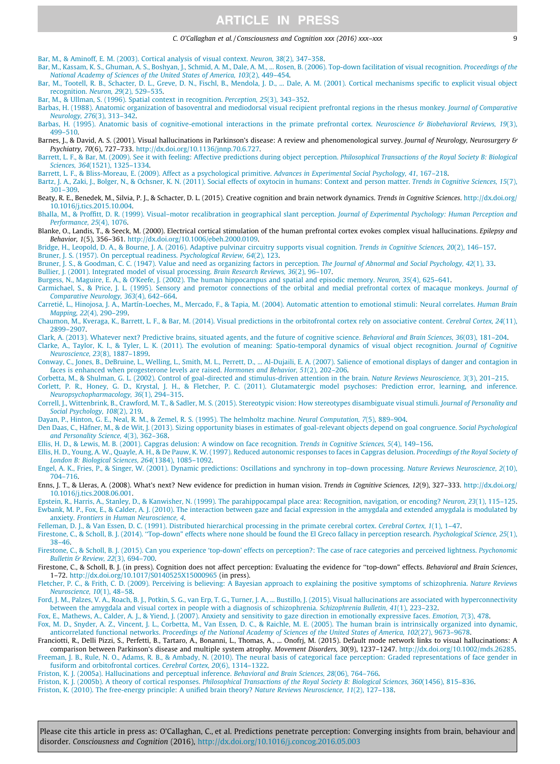#### C. O'Callaghan et al. / Consciousness and Cognition xxx (2016) xxx–xxx 9

<span id="page-8-0"></span>[Bar, M., & Aminoff, E. M. \(2003\). Cortical analysis of visual context.](http://refhub.elsevier.com/S1053-8100(16)30082-4/h0100) Neuron, 38(2), 347–358.

[Bar, M., Kassam, K. S., Ghuman, A. S., Boshyan, J., Schmid, A. M., Dale, A. M., ... Rosen, B. \(2006\). Top-down facilitation of visual recognition.](http://refhub.elsevier.com/S1053-8100(16)30082-4/h0105) Proceedings of the [National Academy of Sciences of the United States of America, 103](http://refhub.elsevier.com/S1053-8100(16)30082-4/h0105)(2), 449–454.

[Bar, M., Tootell, R. B., Schacter, D. L., Greve, D. N., Fischl, B., Mendola, J. D., ... Dale, A. M. \(2001\). Cortical mechanisms specific to explicit visual object](http://refhub.elsevier.com/S1053-8100(16)30082-4/h0110) recognition. Neuron, 29[\(2\), 529–535](http://refhub.elsevier.com/S1053-8100(16)30082-4/h0110).

[Bar, M., & Ullman, S. \(1996\). Spatial context in recognition.](http://refhub.elsevier.com/S1053-8100(16)30082-4/h0115) Perception, 25(3), 343–352.

[Barbas, H. \(1988\). Anatomic organization of basoventral and mediodorsal visual recipient prefrontal regions in the rhesus monkey.](http://refhub.elsevier.com/S1053-8100(16)30082-4/h0120) Journal of Comparative [Neurology, 276](http://refhub.elsevier.com/S1053-8100(16)30082-4/h0120)(3), 313–342.

[Barbas, H. \(1995\). Anatomic basis of cognitive-emotional interactions in the primate prefrontal cortex.](http://refhub.elsevier.com/S1053-8100(16)30082-4/h0125) Neuroscience & Biobehavioral Reviews, 19(3), [499–510](http://refhub.elsevier.com/S1053-8100(16)30082-4/h0125).

Barnes, J., & David, A. S. (2001). Visual hallucinations in Parkinson's disease: A review and phenomenological survey. Journal of Neurology, Neurosurgery & Psychiatry, 70(6), 727–733. <http://dx.doi.org/10.1136/jnnp.70.6.727>.

[Barrett, L. F., & Bar, M. \(2009\). See it with feeling: Affective predictions during object perception.](http://refhub.elsevier.com/S1053-8100(16)30082-4/h0135) Philosophical Transactions of the Royal Society B: Biological Sciences, 364[\(1521\), 1325–1334.](http://refhub.elsevier.com/S1053-8100(16)30082-4/h0135)

[Barrett, L. F., & Bliss-Moreau, E. \(2009\). Affect as a psychological primitive.](http://refhub.elsevier.com/S1053-8100(16)30082-4/h0140) Advances in Experimental Social Psychology, 41, 167–218.

[Bartz, J. A., Zaki, J., Bolger, N., & Ochsner, K. N. \(2011\). Social effects of oxytocin in humans: Context and person matter.](http://refhub.elsevier.com/S1053-8100(16)30082-4/h0145) Trends in Cognitive Sciences, 15(7), [301–309](http://refhub.elsevier.com/S1053-8100(16)30082-4/h0145).

Beaty, R. E., Benedek, M., Silvia, P. J., & Schacter, D. L. (2015). Creative cognition and brain network dynamics. Trends in Cognitive Sciences. [http://dx.doi.org/](http://dx.doi.org/10.1016/j.tics.2015.10.004) [10.1016/j.tics.2015.10.004](http://dx.doi.org/10.1016/j.tics.2015.10.004).

[Bhalla, M., & Proffitt, D. R. \(1999\). Visual–motor recalibration in geographical slant perception.](http://refhub.elsevier.com/S1053-8100(16)30082-4/h0155) Journal of Experimental Psychology: Human Perception and [Performance, 25](http://refhub.elsevier.com/S1053-8100(16)30082-4/h0155)(4), 1076.

Blanke, O., Landis, T., & Seeck, M. (2000). Electrical cortical stimulation of the human prefrontal cortex evokes complex visual hallucinations. Epilepsy and Behavior, 1(5), 356–361. [http://dx.doi.org/10.1006/ebeh.2000.0109.](http://dx.doi.org/10.1006/ebeh.2000.0109)

[Bridge, H., Leopold, D. A., & Bourne, J. A. \(2016\). Adaptive pulvinar circuitry supports visual cognition.](http://refhub.elsevier.com/S1053-8100(16)30082-4/h0165) Trends in Cognitive Sciences, 20(2), 146–157.

[Bruner, J. S. \(1957\). On perceptual readiness.](http://refhub.elsevier.com/S1053-8100(16)30082-4/h0170) Psychological Review, 64(2), 123.

[Bruner, J. S., & Goodman, C. C. \(1947\). Value and need as organizing factors in perception.](http://refhub.elsevier.com/S1053-8100(16)30082-4/h0175) The Journal of Abnormal and Social Psychology, 42(1), 33.

[Bullier, J. \(2001\). Integrated model of visual processing.](http://refhub.elsevier.com/S1053-8100(16)30082-4/h0180) Brain Research Reviews, 36(2), 96–107.

[Burgess, N., Maguire, E. A., & O'Keefe, J. \(2002\). The human hippocampus and spatial and episodic memory.](http://refhub.elsevier.com/S1053-8100(16)30082-4/h0185) Neuron, 35(4), 625–641.

[Carmichael, S., & Price, J. L. \(1995\). Sensory and premotor connections of the orbital and medial prefrontal cortex of macaque monkeys.](http://refhub.elsevier.com/S1053-8100(16)30082-4/h0190) Journal of [Comparative Neurology, 363](http://refhub.elsevier.com/S1053-8100(16)30082-4/h0190)(4), 642–664.

[Carretié, L., Hinojosa, J. A., Martín-Loeches, M., Mercado, F., & Tapia, M. \(2004\). Automatic attention to emotional stimuli: Neural correlates.](http://refhub.elsevier.com/S1053-8100(16)30082-4/h0195) Human Brain Mapping, 22[\(4\), 290–299](http://refhub.elsevier.com/S1053-8100(16)30082-4/h0195).

[Chaumon, M., Kveraga, K., Barrett, L. F., & Bar, M. \(2014\). Visual predictions in the orbitofrontal cortex rely on associative content.](http://refhub.elsevier.com/S1053-8100(16)30082-4/h0200) Cerebral Cortex, 24(11), [2899–2907](http://refhub.elsevier.com/S1053-8100(16)30082-4/h0200).

[Clark, A. \(2013\). Whatever next? Predictive brains, situated agents, and the future of cognitive science.](http://refhub.elsevier.com/S1053-8100(16)30082-4/h0205) Behavioral and Brain Sciences, 36(03), 181–204.

[Clarke, A., Taylor, K. I., & Tyler, L. K. \(2011\). The evolution of meaning: Spatio-temporal dynamics of visual object recognition.](http://refhub.elsevier.com/S1053-8100(16)30082-4/h0210) Journal of Cognitive [Neuroscience, 23](http://refhub.elsevier.com/S1053-8100(16)30082-4/h0210)(8), 1887–1899.

[Conway, C., Jones, B., DeBruine, L., Welling, L., Smith, M. L., Perrett, D., ... Al-Dujaili, E. A. \(2007\). Salience of emotional displays of danger and](http://refhub.elsevier.com/S1053-8100(16)30082-4/h0215) contagion in [faces is enhanced when progesterone levels are raised.](http://refhub.elsevier.com/S1053-8100(16)30082-4/h0215) Hormones and Behavior, 51(2), 202–206.

[Corbetta, M., & Shulman, G. L. \(2002\). Control of goal-directed and stimulus-driven attention in the brain.](http://refhub.elsevier.com/S1053-8100(16)30082-4/h0220) Nature Reviews Neuroscience, 3(3), 201–215.

[Corlett, P. R., Honey, G. D., Krystal, J. H., & Fletcher, P. C. \(2011\). Glutamatergic model psychoses: Prediction error, learning, and inference.](http://refhub.elsevier.com/S1053-8100(16)30082-4/h0225) [Neuropsychopharmacology, 36](http://refhub.elsevier.com/S1053-8100(16)30082-4/h0225)(1), 294–315.

[Correll, J., Wittenbrink, B., Crawford, M. T., & Sadler, M. S. \(2015\). Stereotypic vision: How stereotypes disambiguate visual stimuli.](http://refhub.elsevier.com/S1053-8100(16)30082-4/h0230) Journal of Personality and [Social Psychology, 108](http://refhub.elsevier.com/S1053-8100(16)30082-4/h0230)(2), 219.

[Dayan, P., Hinton, G. E., Neal, R. M., & Zemel, R. S. \(1995\). The helmholtz machine.](http://refhub.elsevier.com/S1053-8100(16)30082-4/h0235) Neural Computation, 7(5), 889–904.

[Den Daas, C., Häfner, M., & de Wit, J. \(2013\). Sizing opportunity biases in estimates of goal-relevant objects depend on goal congruence.](http://refhub.elsevier.com/S1053-8100(16)30082-4/h0240) Social Psychological [and Personality Science, 4](http://refhub.elsevier.com/S1053-8100(16)30082-4/h0240)(3), 362–368.

[Ellis, H. D., & Lewis, M. B. \(2001\). Capgras delusion: A window on face recognition.](http://refhub.elsevier.com/S1053-8100(16)30082-4/h0245) Trends in Cognitive Sciences, 5(4), 149–156.

[Ellis, H. D., Young, A. W., Quayle, A. H., & De Pauw, K. W. \(1997\). Reduced autonomic responses to faces in Capgras delusion.](http://refhub.elsevier.com/S1053-8100(16)30082-4/h0250) Proceedings of the Royal Society of [London B: Biological Sciences, 264](http://refhub.elsevier.com/S1053-8100(16)30082-4/h0250)(1384), 1085–1092.

[Engel, A. K., Fries, P., & Singer, W. \(2001\). Dynamic predictions: Oscillations and synchrony in top–down processing.](http://refhub.elsevier.com/S1053-8100(16)30082-4/h0255) Nature Reviews Neuroscience, 2(10), [704–716](http://refhub.elsevier.com/S1053-8100(16)30082-4/h0255).

Enns, J. T., & Lleras, A. (2008). What's next? New evidence for prediction in human vision. Trends in Cognitive Sciences, 12(9), 327–333. [http://dx.doi.org/](http://dx.doi.org/10.1016/j.tics.2008.06.001) [10.1016/j.tics.2008.06.001](http://dx.doi.org/10.1016/j.tics.2008.06.001).

[Epstein, R., Harris, A., Stanley, D., & Kanwisher, N. \(1999\). The parahippocampal place area: Recognition, navigation, or encoding?](http://refhub.elsevier.com/S1053-8100(16)30082-4/h0265) Neuron, 23(1), 115–125. [Ewbank, M. P., Fox, E., & Calder, A. J. \(2010\). The interaction between gaze and facial expression in the amygdala and extended amygdala is modulated by](http://refhub.elsevier.com/S1053-8100(16)30082-4/h0270) anxiety. [Frontiers in Human Neuroscience, 4](http://refhub.elsevier.com/S1053-8100(16)30082-4/h0270).

[Felleman, D. J., & Van Essen, D. C. \(1991\). Distributed hierarchical processing in the primate cerebral cortex.](http://refhub.elsevier.com/S1053-8100(16)30082-4/h0275) Cerebral Cortex, 1(1), 1–47.

Firestone, C., & Scholl, B. J. (2014). "Top-down" effects where none should be found the El Greco fallacy in perception research. Psychological Science, 25(1), [38–46.](http://refhub.elsevier.com/S1053-8100(16)30082-4/h0280)

[Firestone, C., & Scholl, B. J. \(2015\). Can you experience 'top-down' effects on perception?: The case of race categories and perceived lightness.](http://refhub.elsevier.com/S1053-8100(16)30082-4/h0285) Psychonomic [Bulletin & Review, 22](http://refhub.elsevier.com/S1053-8100(16)30082-4/h0285)(3), 694–700.

Firestone, C., & Scholl, B. J. (in press). Cognition does not affect perception: Evaluating the evidence for ''top-down" effects. Behavioral and Brain Sciences, 1–72. <http://dx.doi.org/10.1017/S0140525X15000965> (in press).

[Fletcher, P. C., & Frith, C. D. \(2009\). Perceiving is believing: A Bayesian approach to explaining the positive symptoms of schizophrenia.](http://refhub.elsevier.com/S1053-8100(16)30082-4/h0295) Nature Reviews [Neuroscience, 10](http://refhub.elsevier.com/S1053-8100(16)30082-4/h0295)(1), 48–58.

[Ford, J. M., Palzes, V. A., Roach, B. J., Potkin, S. G., van Erp, T. G., Turner, J. A., ... Bustillo, J. \(2015\). Visual hallucinations are associated with](http://refhub.elsevier.com/S1053-8100(16)30082-4/h0300) hyperconnectivity [between the amygdala and visual cortex in people with a diagnosis of schizophrenia.](http://refhub.elsevier.com/S1053-8100(16)30082-4/h0300) Schizophrenia Bulletin, 41(1), 223–232.

[Fox, E., Mathews, A., Calder, A. J., & Yiend, J. \(2007\). Anxiety and sensitivity to gaze direction in emotionally expressive faces.](http://refhub.elsevier.com/S1053-8100(16)30082-4/h0305) Emotion, 7(3), 478.

[Fox, M. D., Snyder, A. Z., Vincent, J. L., Corbetta, M., Van Essen, D. C., & Raichle, M. E. \(2005\). The human brain is intrinsically organized into dynamic,](http://refhub.elsevier.com/S1053-8100(16)30082-4/h0310) anticorrelated functional networks. [Proceedings of the National Academy of Sciences of the United States of America, 102](http://refhub.elsevier.com/S1053-8100(16)30082-4/h0310)(27), 9673–9678.

Franciotti, R., Delli Pizzi, S., Perfetti, B., Tartaro, A., Bonanni, L., Thomas, A., ... Onofrj, M. (2015). Default mode network links to visual hallucinations: A comparison between Parkinson's disease and multiple system atrophy. Movement Disorders, 30(9), 1237-1247. <http://dx.doi.org/10.1002/mds.26285>.

[Freeman, J. B., Rule, N. O., Adams, R. B., & Ambady, N. \(2010\). The neural basis of categorical face perception: Graded representations of face gender in](http://refhub.elsevier.com/S1053-8100(16)30082-4/h0320) [fusiform and orbitofrontal cortices.](http://refhub.elsevier.com/S1053-8100(16)30082-4/h0320) Cerebral Cortex, 20(6), 1314–13

[Friston, K. J. \(2005a\). Hallucinations and perceptual inference.](http://refhub.elsevier.com/S1053-8100(16)30082-4/h0325) Behavioral and Brain Sciences, 28(06), 764–766.

Friston, K. J. (2005b). A theory of cortical responses. [Philosophical Transactions of the Royal Society B: Biological Sciences, 360](http://refhub.elsevier.com/S1053-8100(16)30082-4/h0330)(1456), 815–836.

[Friston, K. \(2010\). The free-energy principle: A unified brain theory?](http://refhub.elsevier.com/S1053-8100(16)30082-4/h0335) Nature Reviews Neuroscience, 11(2), 127–138.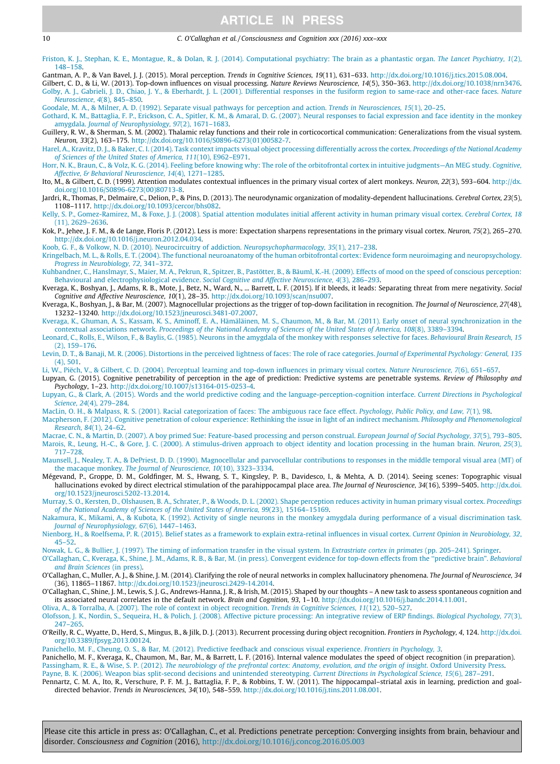<span id="page-9-0"></span>10 C. O'Callaghan et al. / Consciousness and Cognition xxx (2016) xxx–xxx

[Friston, K. J., Stephan, K. E., Montague, R., & Dolan, R. J. \(2014\). Computational psychiatry: The brain as a phantastic organ.](http://refhub.elsevier.com/S1053-8100(16)30082-4/h0340) The Lancet Psychiatry, 1(2), [148–158.](http://refhub.elsevier.com/S1053-8100(16)30082-4/h0340)

Gantman, A. P., & Van Bavel, J. J. (2015). Moral perception. Trends in Cognitive Sciences, 19(11), 631-633. [http://dx.doi.org/10.1016/j.tics.2015.08.004.](http://dx.doi.org/10.1016/j.tics.2015.08.004)

Gilbert, C. D., & Li, W. (2013). Top-down influences on visual processing. Nature Reviews Neuroscience, 14(5), 350–363. [http://dx.doi.org/10.1038/nrn3476.](http://dx.doi.org/10.1038/nrn3476) [Golby, A. J., Gabrieli, J. D., Chiao, J. Y., & Eberhardt, J. L. \(2001\). Differential responses in the fusiform region to same-race and other-race faces.](http://refhub.elsevier.com/S1053-8100(16)30082-4/h0355) Nature [Neuroscience, 4](http://refhub.elsevier.com/S1053-8100(16)30082-4/h0355)(8), 845–850.

[Goodale, M. A., & Milner, A. D. \(1992\). Separate visual pathways for perception and action.](http://refhub.elsevier.com/S1053-8100(16)30082-4/h0360) Trends in Neurosciences, 15(1), 20–25.

[Gothard, K. M., Battaglia, F. P., Erickson, C. A., Spitler, K. M., & Amaral, D. G. \(2007\). Neural responses to facial expression and face identity in the](http://refhub.elsevier.com/S1053-8100(16)30082-4/h0365) monkey amygdala. [Journal of Neurophysiology, 97](http://refhub.elsevier.com/S1053-8100(16)30082-4/h0365)(2), 1671–1683.

Guillery, R. W., & Sherman, S. M. (2002). Thalamic relay functions and their role in corticocortical communication: Generalizations from the visual system. Neuron, 33(2), 163–175. [http://dx.doi.org/10.1016/S0896-6273\(01\)00582-7](http://dx.doi.org/10.1016/S0896-6273(01)00582-7).

[Harel, A., Kravitz, D. J., & Baker, C. I. \(2014\). Task context impacts visual object processing differentially across the cortex.](http://refhub.elsevier.com/S1053-8100(16)30082-4/h0375) Proceedings of the National Academy [of Sciences of the United States of America, 111](http://refhub.elsevier.com/S1053-8100(16)30082-4/h0375)(10), E962–E971.

[Horr, N. K., Braun, C., & Volz, K. G. \(2014\). Feeling before knowing why: The role of the orbitofrontal cortex in intuitive judgments—An MEG study.](http://refhub.elsevier.com/S1053-8100(16)30082-4/h0380) Cognitive, [Affective, & Behavioral Neuroscience, 14](http://refhub.elsevier.com/S1053-8100(16)30082-4/h0380)(4), 1271–1285.

Ito, M., & Gilbert, C. D. (1999). Attention modulates contextual influences in the primary visual cortex of alert monkeys. Neuron, 22(3), 593–604. [http://dx.](http://dx.doi.org/10.1016/S0896-6273(00)80713-8) [doi.org/10.1016/S0896-6273\(00\)80713-8](http://dx.doi.org/10.1016/S0896-6273(00)80713-8).

Jardri, R., Thomas, P., Delmaire, C., Delion, P., & Pins, D. (2013). The neurodynamic organization of modality-dependent hallucinations. Cerebral Cortex, 23(5), 1108–1117. [http://dx.doi.org/10.1093/cercor/bhs082.](http://dx.doi.org/10.1093/cercor/bhs082)

[Kelly, S. P., Gomez-Ramirez, M., & Foxe, J. J. \(2008\). Spatial attention modulates initial afferent activity in human primary visual cortex.](http://refhub.elsevier.com/S1053-8100(16)30082-4/h0395) Cerebral Cortex, 18 [\(11\), 2629–2636.](http://refhub.elsevier.com/S1053-8100(16)30082-4/h0395)

Kok, P., Jehee, J. F. M., & de Lange, Floris P. (2012). Less is more: Expectation sharpens representations in the primary visual cortex. Neuron, 75(2), 265–270. [http://dx.doi.org/10.1016/j.neuron.2012.04.034.](http://dx.doi.org/10.1016/j.neuron.2012.04.034)

[Koob, G. F., & Volkow, N. D. \(2010\). Neurocircuitry of addiction.](http://refhub.elsevier.com/S1053-8100(16)30082-4/h0405) Neuropsychopharmacology, 35(1), 217–238.

[Kringelbach, M. L., & Rolls, E. T. \(2004\). The functional neuroanatomy of the human orbitofrontal cortex: Evidence form neuroimaging and neuropsychology.](http://refhub.elsevier.com/S1053-8100(16)30082-4/h0410) [Progress in Neurobiology, 72](http://refhub.elsevier.com/S1053-8100(16)30082-4/h0410), 341–372.

[Kuhbandner, C., Hanslmayr, S., Maier, M. A., Pekrun, R., Spitzer, B., Pastötter, B., & Bäuml, K.-H. \(2009\). Effects of mood on the speed of conscious perception:](http://refhub.elsevier.com/S1053-8100(16)30082-4/h0415) [Behavioural and electrophysiological evidence.](http://refhub.elsevier.com/S1053-8100(16)30082-4/h0415) Social Cognitive and Affective Neuroscience, 4(3), 286–293.

Kveraga, K., Boshyan, J., Adams, R. B., Mote, J., Betz, N., Ward, N., ... Barrett, L. F. (2015). If it bleeds, it leads: Separating threat from mere negativity. Social Cognitive and Affective Neuroscience, 10(1), 28–35. <http://dx.doi.org/10.1093/scan/nsu007>.

Kveraga, K., Boshyan, J., & Bar, M. (2007). Magnocellular projections as the trigger of top-down facilitation in recognition. The Journal of Neuroscience, 27(48), 13232–13240. [http://dx.doi.org/10.1523/jneurosci.3481-07.2007.](http://dx.doi.org/10.1523/jneurosci.3481-07.2007)

[Kveraga, K., Ghuman, A. S., Kassam, K. S., Aminoff, E. A., Hämäläinen, M. S., Chaumon, M., & Bar, M. \(2011\). Early onset of neural synchronization in the](http://refhub.elsevier.com/S1053-8100(16)30082-4/h0430)<br>contextual associations network. Proceedings of the National Academy

[Leonard, C., Rolls, E., Wilson, F., & Baylis, G. \(1985\). Neurons in the amygdala of the monkey with responses selective for faces.](http://refhub.elsevier.com/S1053-8100(16)30082-4/h0435) Behavioural Brain Research, 15 [\(2\), 159–176](http://refhub.elsevier.com/S1053-8100(16)30082-4/h0435).

[Levin, D. T., & Banaji, M. R. \(2006\). Distortions in the perceived lightness of faces: The role of race categories.](http://refhub.elsevier.com/S1053-8100(16)30082-4/h0440) Journal of Experimental Psychology: General, 135 [\(4\), 501.](http://refhub.elsevier.com/S1053-8100(16)30082-4/h0440)

[Li, W., Piëch, V., & Gilbert, C. D. \(2004\). Perceptual learning and top-down influences in primary visual cortex.](http://refhub.elsevier.com/S1053-8100(16)30082-4/h0445) Nature Neuroscience, 7(6), 651–657.

Lupyan, G. (2015). Cognitive penetrability of perception in the age of prediction: Predictive systems are penetrable systems. Review of Philosophy and Psychology, 1–23. <http://dx.doi.org/10.1007/s13164-015-0253-4>.

[Lupyan, G., & Clark, A. \(2015\). Words and the world predictive coding and the language-perception-cognition interface.](http://refhub.elsevier.com/S1053-8100(16)30082-4/h0455) Current Directions in Psychological Science, 24[\(4\), 279–284.](http://refhub.elsevier.com/S1053-8100(16)30082-4/h0455)

[MacLin, O. H., & Malpass, R. S. \(2001\). Racial categorization of faces: The ambiguous race face effect.](http://refhub.elsevier.com/S1053-8100(16)30082-4/h0460) Psychology, Public Policy, and Law, 7(1), 98. [Macpherson, F. \(2012\). Cognitive penetration of colour experience: Rethinking the issue in light of an indirect mechanism.](http://refhub.elsevier.com/S1053-8100(16)30082-4/h0465) Philosophy and Phenomenological [Research, 84](http://refhub.elsevier.com/S1053-8100(16)30082-4/h0465)(1), 24–62.

[Macrae, C. N., & Martin, D. \(2007\). A boy primed Sue: Feature-based processing and person construal.](http://refhub.elsevier.com/S1053-8100(16)30082-4/h0470) European Journal of Social Psychology, 37(5), 793–805. [Marois, R., Leung, H.-C., & Gore, J. C. \(2000\). A stimulus-driven approach to object identity and location processing in the human brain.](http://refhub.elsevier.com/S1053-8100(16)30082-4/h0475) Neuron, 25(3), [717–728.](http://refhub.elsevier.com/S1053-8100(16)30082-4/h0475)

[Maunsell, J., Nealey, T. A., & DePriest, D. D. \(1990\). Magnocellular and parvocellular contributions to responses in the middle temporal visual area](http://refhub.elsevier.com/S1053-8100(16)30082-4/h0480) (MT) of the macaque monkey. [The Journal of Neuroscience, 10](http://refhub.elsevier.com/S1053-8100(16)30082-4/h0480)(10), 3323–3334.

Mégevand, P., Groppe, D. M., Goldfinger, M. S., Hwang, S. T., Kingsley, P. B., Davidesco, I., & Mehta, A. D. (2014). Seeing scenes: Topographic visual hallucinations evoked by direct electrical stimulation of the parahippocampal place area. The Journal of Neuroscience, 34(16), 5399-5405. [http://dx.doi.](http://dx.doi.org/10.1523/jneurosci.5202-13.2014) [org/10.1523/jneurosci.5202-13.2014.](http://dx.doi.org/10.1523/jneurosci.5202-13.2014)

[Murray, S. O., Kersten, D., Olshausen, B. A., Schrater, P., & Woods, D. L. \(2002\). Shape perception reduces activity in human primary visual cortex.](http://refhub.elsevier.com/S1053-8100(16)30082-4/h0490) Proceedings [of the National Academy of Sciences of the United States of America, 99](http://refhub.elsevier.com/S1053-8100(16)30082-4/h0490)(23), 15164–15169.

[Nakamura, K., Mikami, A., & Kubota, K. \(1992\). Activity of single neurons in the monkey amygdala during performance of a visual discrimination task.](http://refhub.elsevier.com/S1053-8100(16)30082-4/h0495) [Journal of Neurophysiology, 67](http://refhub.elsevier.com/S1053-8100(16)30082-4/h0495)(6), 1447–1463.

[Nienborg, H., & Roelfsema, P. R. \(2015\). Belief states as a framework to explain extra-retinal influences in visual cortex.](http://refhub.elsevier.com/S1053-8100(16)30082-4/h0500) Current Opinion in Neurobiology, 32,  $45 - 52$ 

[Nowak, L. G., & Bullier, J. \(1997\). The timing of information transfer in the visual system. In](http://refhub.elsevier.com/S1053-8100(16)30082-4/h0505) Extrastriate cortex in primates (pp. 205–241). Springer.

[O'Callaghan, C., Kveraga, K., Shine, J. M., Adams, R. B., & Bar, M. \(in press\). Convergent evidence for top-down effects from the ''predictive brain"](http://refhub.elsevier.com/S1053-8100(16)30082-4/h0510). [Behavioral](http://refhub.elsevier.com/S1053-8100(16)30082-4/h0510) [and Brain Sciences](http://refhub.elsevier.com/S1053-8100(16)30082-4/h0510) (in press).

O'Callaghan, C., Muller, A. J., & Shine, J. M. (2014). Clarifying the role of neural networks in complex hallucinatory phenomena. The Journal of Neuroscience, 34 (36), 11865–11867. <http://dx.doi.org/10.1523/jneurosci.2429-14.2014>.

O'Callaghan, C., Shine, J. M., Lewis, S. J. G., Andrews-Hanna, J. R., & Irish, M. (2015). Shaped by our thoughts – A new task to assess spontaneous cognition and its associated neural correlates in the default network. Brain and Cognition, 93, 1–10. <http://dx.doi.org/10.1016/j.bandc.2014.11.001>.

[Oliva, A., & Torralba, A. \(2007\). The role of context in object recognition.](http://refhub.elsevier.com/S1053-8100(16)30082-4/h0525) Trends in Cognitive Sciences, 11(12), 520–527.

[Olofsson, J. K., Nordin, S., Sequeira, H., & Polich, J. \(2008\). Affective picture processing: An integrative review of ERP findings.](http://refhub.elsevier.com/S1053-8100(16)30082-4/h0530) Biological Psychology, 77(3), [247–265.](http://refhub.elsevier.com/S1053-8100(16)30082-4/h0530)

O'Reilly, R. C., Wyatte, D., Herd, S., Mingus, B., & Jilk, D. J. (2013). Recurrent processing during object recognition. Frontiers in Psychology, 4, 124. [http://dx.doi.](http://dx.doi.org/10.3389/fpsyg.2013.00124) [org/10.3389/fpsyg.2013.00124](http://dx.doi.org/10.3389/fpsyg.2013.00124).

[Panichello, M. F., Cheung, O. S., & Bar, M. \(2012\). Predictive feedback and conscious visual experience.](http://refhub.elsevier.com/S1053-8100(16)30082-4/h0540) Frontiers in Psychology, 3.

Panichello, M. F., Kveraga, K., Chaumon, M., Bar, M., & Barrett, L. F. (2016). Internal valence modulates the speed of object recognition (in preparation). Passingham, R. E., & Wise, S. P. (2012). [The neurobiology of the prefrontal cortex: Anatomy, evolution, and the origin of insight](http://refhub.elsevier.com/S1053-8100(16)30082-4/h0550). Oxford University Press.

[Payne, B. K. \(2006\). Weapon bias split-second decisions and unintended stereotyping.](http://refhub.elsevier.com/S1053-8100(16)30082-4/h0555) Current Directions in Psychological Science, 15(6), 287–291. Pennartz, C. M. A., Ito, R., Verschure, P. F. M. J., Battaglia, F. P., & Robbins, T. W. (2011). The hippocampal–striatal axis in learning, prediction and goal-

directed behavior. Trends in Neurosciences, 34(10), 548–559. <http://dx.doi.org/10.1016/j.tins.2011.08.001>.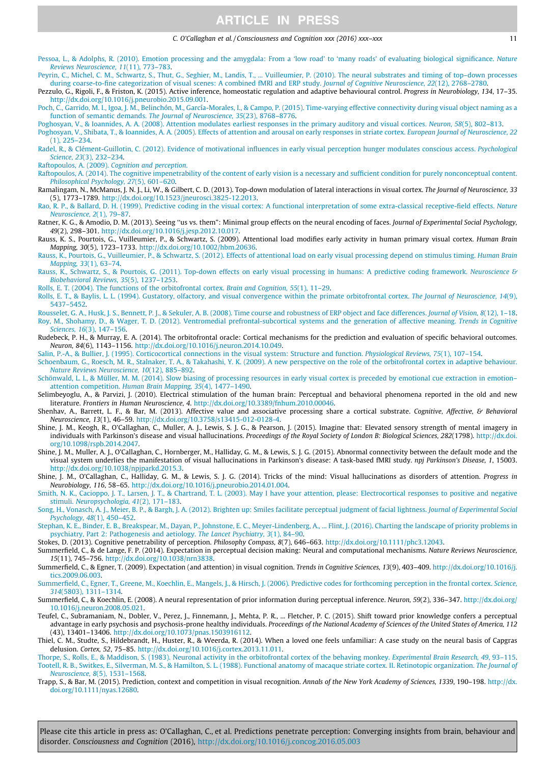<span id="page-10-0"></span>[Pessoa, L., & Adolphs, R. \(2010\). Emotion processing and the amygdala: From a 'low road' to 'many roads' of evaluating biological significance.](http://refhub.elsevier.com/S1053-8100(16)30082-4/h0565) Nature [Reviews Neuroscience, 11](http://refhub.elsevier.com/S1053-8100(16)30082-4/h0565)(11), 773–783.

[Peyrin, C., Michel, C. M., Schwartz, S., Thut, G., Seghier, M., Landis, T., ... Vuilleumier, P. \(2010\). The neural substrates and timing of top–down processes](http://refhub.elsevier.com/S1053-8100(16)30082-4/h0570)<br>during coarse-to-fine categorization of visual scenes: A combin

Pezzulo, G., Rigoli, F., & Friston, K. (2015). Active inference, homeostatic regulation and adaptive behavioural control. Progress in Neurobiology, 134, 17–35. [http://dx.doi.org/10.1016/j.pneurobio.2015.09.001.](http://dx.doi.org/10.1016/j.pneurobio.2015.09.001)

[Poch, C., Garrido, M. I., Igoa, J. M., Belinchón, M., García-Morales, I., & Campo, P. \(2015\). Time-varying effective connectivity during visual object naming as a](http://refhub.elsevier.com/S1053-8100(16)30082-4/h0580) [function of semantic demands.](http://refhub.elsevier.com/S1053-8100(16)30082-4/h0580) The Journal of Neuroscience, 35(23), 8768–8776.

[Poghosyan, V., & Ioannides, A. A. \(2008\). Attention modulates earliest responses in the primary auditory and visual cortices.](http://refhub.elsevier.com/S1053-8100(16)30082-4/h0585) Neuron, 58(5), 802–813.

[Poghosyan, V., Shibata, T., & Ioannides, A. A. \(2005\). Effects of attention and arousal on early responses in striate cortex.](http://refhub.elsevier.com/S1053-8100(16)30082-4/h0590) European Journal of Neuroscience, 22  $(1)$ , 225–234.

[Radel, R., & Clément-Guillotin, C. \(2012\). Evidence of motivational influences in early visual perception hunger modulates conscious access.](http://refhub.elsevier.com/S1053-8100(16)30082-4/h0595) Psychological Science, 23[\(3\), 232–234.](http://refhub.elsevier.com/S1053-8100(16)30082-4/h0595)

Raftopoulos, A. (2009). [Cognition and perception](http://refhub.elsevier.com/S1053-8100(16)30082-4/h0600).

[Raftopoulos, A. \(2014\). The cognitive impenetrability of the content of early vision is a necessary and sufficient condition for purely nonconceptual content.](http://refhub.elsevier.com/S1053-8100(16)30082-4/h0605) [Philosophical Psychology, 27](http://refhub.elsevier.com/S1053-8100(16)30082-4/h0605)(5), 601–620.

Ramalingam, N., McManus, J. N. J., Li, W., & Gilbert, C. D. (2013). Top-down modulation of lateral interactions in visual cortex. The Journal of Neuroscience, 33 (5), 1773–1789. [http://dx.doi.org/10.1523/jneurosci.3825-12.2013.](http://dx.doi.org/10.1523/jneurosci.3825-12.2013)

- [Rao, R. P., & Ballard, D. H. \(1999\). Predictive coding in the visual cortex: A functional interpretation of some extra-classical receptive-field effects.](http://refhub.elsevier.com/S1053-8100(16)30082-4/h0615) Nature [Neuroscience, 2](http://refhub.elsevier.com/S1053-8100(16)30082-4/h0615)(1), 79–87.
- Ratner, K. G., & Amodio, D. M. (2013). Seeing "us vs. them": Minimal group effects on the neural encoding of faces. Journal of Experimental Social Psychology, 49(2), 298–301. [http://dx.doi.org/10.1016/j.jesp.2012.10.017.](http://dx.doi.org/10.1016/j.jesp.2012.10.017)
- Rauss, K. S., Pourtois, G., Vuilleumier, P., & Schwartz, S. (2009). Attentional load modifies early activity in human primary visual cortex. Human Brain Mapping, 30(5), 1723–1733. [http://dx.doi.org/10.1002/hbm.20636.](http://dx.doi.org/10.1002/hbm.20636)

[Rauss, K., Pourtois, G., Vuilleumier, P., & Schwartz, S. \(2012\). Effects of attentional load on early visual processing depend on stimulus timing.](http://refhub.elsevier.com/S1053-8100(16)30082-4/h0630) Human Brain [Mapping, 33](http://refhub.elsevier.com/S1053-8100(16)30082-4/h0630)(1), 63–74.

[Rauss, K., Schwartz, S., & Pourtois, G. \(2011\). Top-down effects on early visual processing in humans: A predictive coding framework.](http://refhub.elsevier.com/S1053-8100(16)30082-4/h0635) Neuroscience & [Biobehavioral Reviews, 35](http://refhub.elsevier.com/S1053-8100(16)30082-4/h0635)(5), 1237–1253.

[Rolls, E. T. \(2004\). The functions of the orbitofrontal cortex.](http://refhub.elsevier.com/S1053-8100(16)30082-4/h0640) Brain and Cognition, 55(1), 11–29.

- [Rolls, E. T., & Baylis, L. L. \(1994\). Gustatory, olfactory, and visual convergence within the primate orbitofrontal cortex.](http://refhub.elsevier.com/S1053-8100(16)30082-4/h0645) The Journal of Neuroscience, 14(9), [5437–5452](http://refhub.elsevier.com/S1053-8100(16)30082-4/h0645).
- [Rousselet, G. A., Husk, J. S., Bennett, P. J., & Sekuler, A. B. \(2008\). Time course and robustness of ERP object and face differences.](http://refhub.elsevier.com/S1053-8100(16)30082-4/h0650) Journal of Vision, 8(12), 1–18. [Roy, M., Shohamy, D., & Wager, T. D. \(2012\). Ventromedial prefrontal-subcortical systems and the generation of affective meaning.](http://refhub.elsevier.com/S1053-8100(16)30082-4/h0655) Trends in Cognitive Sciences, 16[\(3\), 147–156](http://refhub.elsevier.com/S1053-8100(16)30082-4/h0655).
- Rudebeck, P. H., & Murray, E. A. (2014). The orbitofrontal oracle: Cortical mechanisms for the prediction and evaluation of specific behavioral outcomes. Neuron, 84(6), 1143–1156. [http://dx.doi.org/10.1016/j.neuron.2014.10.049.](http://dx.doi.org/10.1016/j.neuron.2014.10.049)

[Salin, P.-A., & Bullier, J. \(1995\). Corticocortical connections in the visual system: Structure and function.](http://refhub.elsevier.com/S1053-8100(16)30082-4/h0665) Physiological Reviews, 75(1), 107–154.

[Schoenbaum, G., Roesch, M. R., Stalnaker, T. A., & Takahashi, Y. K. \(2009\). A new perspective on the role of the orbitofrontal cortex in adaptive behaviour.](http://refhub.elsevier.com/S1053-8100(16)30082-4/h0670) [Nature Reviews Neuroscience, 10](http://refhub.elsevier.com/S1053-8100(16)30082-4/h0670)(12), 885–892.

- [Schönwald, L. I., & Müller, M. M. \(2014\). Slow biasing of processing resources in early visual cortex is preceded by emotional cue extraction in emotion–](http://refhub.elsevier.com/S1053-8100(16)30082-4/h0675) attention competition. [Human Brain Mapping, 35](http://refhub.elsevier.com/S1053-8100(16)30082-4/h0675)(4), 1477–1490.
- Selimbeyoglu, A., & Parvizi, J. (2010). Electrical stimulation of the human brain: Perceptual and behavioral phenomena reported in the old and new literature. Frontiers in Human Neuroscience, 4. [http://dx.doi.org/10.3389/fnhum.2010.00046.](http://dx.doi.org/10.3389/fnhum.2010.00046)
- Shenhav, A., Barrett, L. F., & Bar, M. (2013). Affective value and associative processing share a cortical substrate. Cognitive, Affective, & Behavioral Neuroscience, 13(1), 46–59. [http://dx.doi.org/10.3758/s13415-012-0128-4.](http://dx.doi.org/10.3758/s13415-012-0128-4)
- Shine, J. M., Keogh, R., O'Callaghan, C., Muller, A. J., Lewis, S. J. G., & Pearson, J. (2015). Imagine that: Elevated sensory strength of mental imagery in individuals with Parkinson's disease and visual hallucinations. Proceedings of the Royal Society of London B: Biological Sciences, 282(1798). [http://dx.doi.](http://dx.doi.org/10.1098/rspb.2014.2047) [org/10.1098/rspb.2014.2047](http://dx.doi.org/10.1098/rspb.2014.2047).
- Shine, J. M., Muller, A. J., O'Callaghan, C., Hornberger, M., Halliday, G. M., & Lewis, S. J. G. (2015). Abnormal connectivity between the default mode and the visual system underlies the manifestation of visual hallucinations in Parkinson's disease: A task-based fMRI study. npj Parkinson's Disease, 1, 15003. [http://dx.doi.org/10.1038/npjparkd.2015.3.](http://dx.doi.org/10.1038/npjparkd.2015.3)
- Shine, J. M., O'Callaghan, C., Halliday, G. M., & Lewis, S. J. G. (2014). Tricks of the mind: Visual hallucinations as disorders of attention. Progress in Neurobiology, 116, 58–65. <http://dx.doi.org/10.1016/j.pneurobio.2014.01.004>.
- [Smith, N. K., Cacioppo, J. T., Larsen, J. T., & Chartrand, T. L. \(2003\). May I have your attention, please: Electrocortical responses to positive and negative](http://refhub.elsevier.com/S1053-8100(16)30082-4/h0705) stimuli. [Neuropsychologia, 41](http://refhub.elsevier.com/S1053-8100(16)30082-4/h0705)(2), 171–183.
- [Song, H., Vonasch, A. J., Meier, B. P., & Bargh, J. A. \(2012\). Brighten up: Smiles facilitate perceptual judgment of facial lightness.](http://refhub.elsevier.com/S1053-8100(16)30082-4/h0710) Journal of Experimental Social [Psychology, 48](http://refhub.elsevier.com/S1053-8100(16)30082-4/h0710)(1), 450–452.

[Stephan, K. E., Binder, E. B., Breakspear, M., Dayan, P., Johnstone, E. C., Meyer-Lindenberg, A., ... Flint, J. \(2016\). Charting the landscape of priority problems in](http://refhub.elsevier.com/S1053-8100(16)30082-4/h0715) [psychiatry, Part 2: Pathogenesis and aetiology.](http://refhub.elsevier.com/S1053-8100(16)30082-4/h0715) The Lancet Psychiatry, 3(1), 84–90.

Stokes, D. (2013). Cognitive penetrability of perception. Philosophy Compass, 8(7), 646–663. [http://dx.doi.org/10.1111/phc3.12043.](http://dx.doi.org/10.1111/phc3.12043)

Summerfield, C., & de Lange, F. P. (2014). Expectation in perceptual decision making: Neural and computational mechanisms. Nature Reviews Neuroscience, 15(11), 745–756. <http://dx.doi.org/10.1038/nrn3838>.

Summerfield, C., & Egner, T. (2009). Expectation (and attention) in visual cognition. Trends in Cognitive Sciences, 13(9), 403-409. [http://dx.doi.org/10.1016/j.](http://dx.doi.org/10.1016/j.tics.2009.06.003) [tics.2009.06.003](http://dx.doi.org/10.1016/j.tics.2009.06.003).

[Summerfield, C., Egner, T., Greene, M., Koechlin, E., Mangels, J., & Hirsch, J. \(2006\). Predictive codes for forthcoming perception in the frontal cortex.](http://refhub.elsevier.com/S1053-8100(16)30082-4/h0735) Science, 314[\(5803\), 1311–1314.](http://refhub.elsevier.com/S1053-8100(16)30082-4/h0735)

- Summerfield, C., & Koechlin, E. (2008). A neural representation of prior information during perceptual inference. Neuron, 59(2), 336–347. [http://dx.doi.org/](http://dx.doi.org/10.1016/j.neuron.2008.05.021) [10.1016/j.neuron.2008.05.021](http://dx.doi.org/10.1016/j.neuron.2008.05.021).
- Teufel, C., Subramaniam, N., Dobler, V., Perez, J., Finnemann, J., Mehta, P. R., ... Fletcher, P. C. (2015). Shift toward prior knowledge confers a perceptual advantage in early psychosis and psychosis-prone healthy individuals. Proceedings of the National Academy of Sciences of the United States of America, 112 (43), 13401–13406. <http://dx.doi.org/10.1073/pnas.1503916112>.
- Thiel, C. M., Studte, S., Hildebrandt, H., Huster, R., & Weerda, R. (2014). When a loved one feels unfamiliar: A case study on the neural basis of Capgras delusion. Cortex, 52, 75–85. <http://dx.doi.org/10.1016/j.cortex.2013.11.011>.

[Thorpe, S., Rolls, E., & Maddison, S. \(1983\). Neuronal activity in the orbitofrontal cortex of the behaving monkey.](http://refhub.elsevier.com/S1053-8100(16)30082-4/h0755) Experimental Brain Research, 49, 93–115. [Tootell, R. B., Switkes, E., Silverman, M. S., & Hamilton, S. L. \(1988\). Functional anatomy of macaque striate cortex. II. Retinotopic organization.](http://refhub.elsevier.com/S1053-8100(16)30082-4/h0760) The Journal of Neuroscience, 8[\(5\), 1531–1568.](http://refhub.elsevier.com/S1053-8100(16)30082-4/h0760)

Trapp, S., & Bar, M. (2015). Prediction, context and competition in visual recognition. Annals of the New York Academy of Sciences, 1339, 190–198. [http://dx.](http://dx.doi.org/10.1111/nyas.12680) [doi.org/10.1111/nyas.12680](http://dx.doi.org/10.1111/nyas.12680).